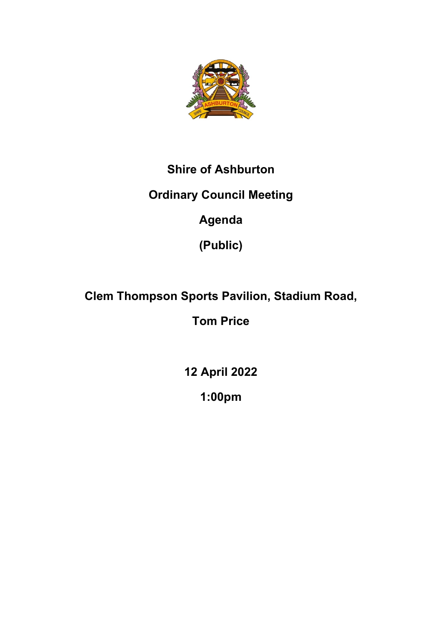

# **Shire of Ashburton**

# **Ordinary Council Meeting**

# **Agenda**

**(Public)**

# **Clem Thompson Sports Pavilion, Stadium Road,**

# **Tom Price**

**12 April 2022**

**1:00pm**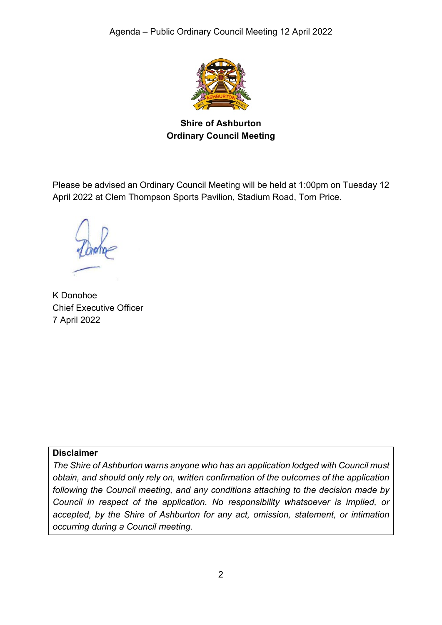

**Shire of Ashburton Ordinary Council Meeting**

Please be advised an Ordinary Council Meeting will be held at 1:00pm on Tuesday 12 April 2022 at Clem Thompson Sports Pavilion, Stadium Road, Tom Price.

K Donohoe Chief Executive Officer 7 April 2022

#### **Disclaimer**

*The Shire of Ashburton warns anyone who has an application lodged with Council must obtain, and should only rely on, written confirmation of the outcomes of the application following the Council meeting, and any conditions attaching to the decision made by Council in respect of the application. No responsibility whatsoever is implied, or accepted, by the Shire of Ashburton for any act, omission, statement, or intimation occurring during a Council meeting.*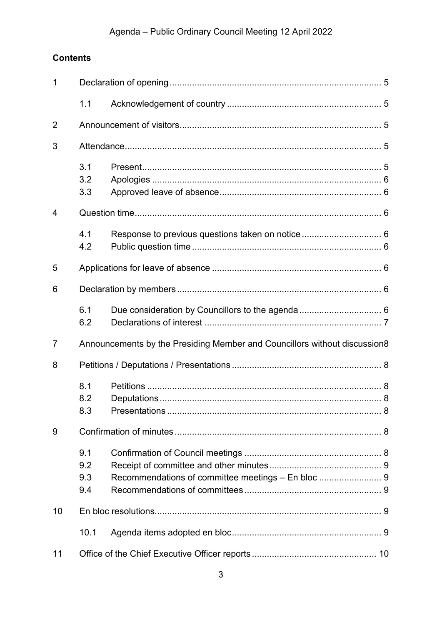## Agenda - Public Ordinary Council Meeting 12 April 2022

## **Contents**

| 1              |                                                                           |  |  |  |  |  |
|----------------|---------------------------------------------------------------------------|--|--|--|--|--|
|                | 1.1                                                                       |  |  |  |  |  |
| $\overline{2}$ |                                                                           |  |  |  |  |  |
| 3              |                                                                           |  |  |  |  |  |
|                | 3.1<br>3.2<br>3.3                                                         |  |  |  |  |  |
| 4              |                                                                           |  |  |  |  |  |
|                | 4.1<br>4.2                                                                |  |  |  |  |  |
| 5              |                                                                           |  |  |  |  |  |
| 6              |                                                                           |  |  |  |  |  |
|                | 6.1<br>6.2                                                                |  |  |  |  |  |
| $\overline{7}$ | Announcements by the Presiding Member and Councillors without discussion8 |  |  |  |  |  |
| 8              |                                                                           |  |  |  |  |  |
|                | 8.1<br>8.2<br>8.3                                                         |  |  |  |  |  |
| 9              |                                                                           |  |  |  |  |  |
|                | 9.1<br>9.2<br>9.3<br>9.4                                                  |  |  |  |  |  |
| 10             |                                                                           |  |  |  |  |  |
|                | 10.1                                                                      |  |  |  |  |  |
| 11             |                                                                           |  |  |  |  |  |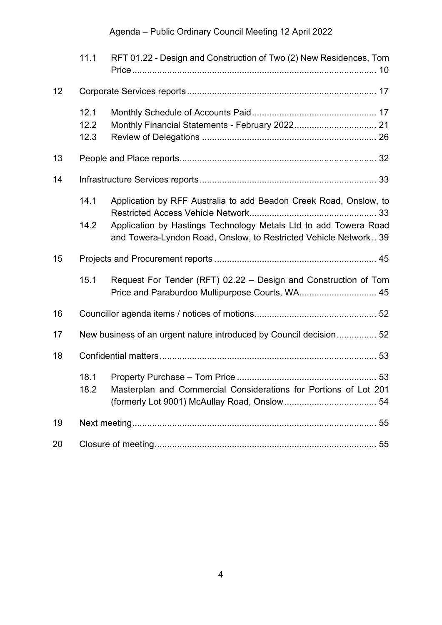## Agenda – Public Ordinary Council Meeting 12 April 2022

|    | 11.1                                                               | RFT 01.22 - Design and Construction of Two (2) New Residences, Tom                                                                                                                                        |  |  |  |  |
|----|--------------------------------------------------------------------|-----------------------------------------------------------------------------------------------------------------------------------------------------------------------------------------------------------|--|--|--|--|
| 12 |                                                                    |                                                                                                                                                                                                           |  |  |  |  |
|    | 12.1<br>12.2<br>12.3                                               |                                                                                                                                                                                                           |  |  |  |  |
| 13 |                                                                    |                                                                                                                                                                                                           |  |  |  |  |
| 14 |                                                                    |                                                                                                                                                                                                           |  |  |  |  |
|    | 14.1<br>14.2                                                       | Application by RFF Australia to add Beadon Creek Road, Onslow, to<br>Application by Hastings Technology Metals Ltd to add Towera Road<br>and Towera-Lyndon Road, Onslow, to Restricted Vehicle Network 39 |  |  |  |  |
| 15 |                                                                    |                                                                                                                                                                                                           |  |  |  |  |
|    | 15.1                                                               | Request For Tender (RFT) 02.22 - Design and Construction of Tom<br>Price and Paraburdoo Multipurpose Courts, WA 45                                                                                        |  |  |  |  |
| 16 |                                                                    |                                                                                                                                                                                                           |  |  |  |  |
| 17 | New business of an urgent nature introduced by Council decision 52 |                                                                                                                                                                                                           |  |  |  |  |
| 18 |                                                                    |                                                                                                                                                                                                           |  |  |  |  |
|    | 18.1<br>18.2                                                       | Masterplan and Commercial Considerations for Portions of Lot 201                                                                                                                                          |  |  |  |  |
| 19 |                                                                    |                                                                                                                                                                                                           |  |  |  |  |
| 20 |                                                                    |                                                                                                                                                                                                           |  |  |  |  |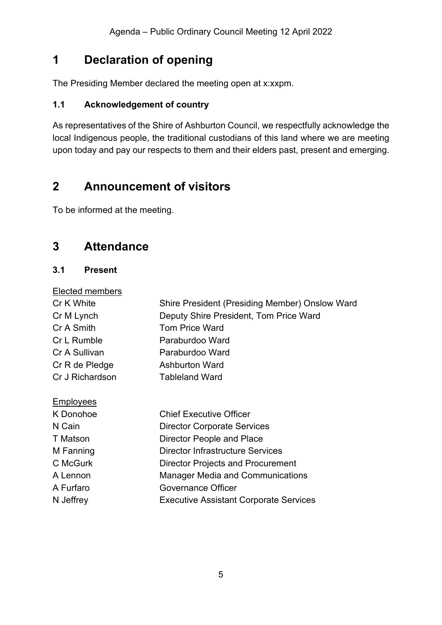## <span id="page-4-0"></span>**1 Declaration of opening**

The Presiding Member declared the meeting open at x:xxpm.

## <span id="page-4-1"></span>**1.1 Acknowledgement of country**

As representatives of the Shire of Ashburton Council, we respectfully acknowledge the local Indigenous people, the traditional custodians of this land where we are meeting upon today and pay our respects to them and their elders past, present and emerging.

## <span id="page-4-2"></span>**2 Announcement of visitors**

To be informed at the meeting.

## <span id="page-4-3"></span>**3 Attendance**

## <span id="page-4-4"></span>**3.1 Present**

| Shire President (Presiding Member) Onslow Ward |
|------------------------------------------------|
| Deputy Shire President, Tom Price Ward         |
| <b>Tom Price Ward</b>                          |
| Paraburdoo Ward                                |
| Paraburdoo Ward                                |
| <b>Ashburton Ward</b>                          |
| <b>Tableland Ward</b>                          |
|                                                |
| <b>Chief Executive Officer</b>                 |
| <b>Director Corporate Services</b>             |
| Director People and Place                      |
| Director Infrastructure Services               |
| <b>Director Projects and Procurement</b>       |
| <b>Manager Media and Communications</b>        |
| Governance Officer                             |
| <b>Executive Assistant Corporate Services</b>  |
|                                                |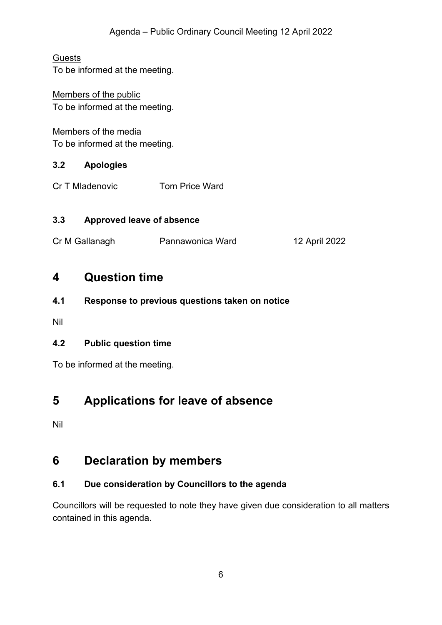## **Guests**

To be informed at the meeting.

## Members of the public To be informed at the meeting.

## Members of the media

To be informed at the meeting.

## <span id="page-5-0"></span>**3.2 Apologies**

Cr T Mladenovic Tom Price Ward

## <span id="page-5-1"></span>**3.3 Approved leave of absence**

Cr M Gallanagh Pannawonica Ward 12 April 2022

## <span id="page-5-2"></span>**4 Question time**

<span id="page-5-3"></span>**4.1 Response to previous questions taken on notice**

Nil

## <span id="page-5-4"></span>**4.2 Public question time**

To be informed at the meeting.

## <span id="page-5-5"></span>**5 Applications for leave of absence**

Nil

## <span id="page-5-6"></span>**6 Declaration by members**

## <span id="page-5-7"></span>**6.1 Due consideration by Councillors to the agenda**

Councillors will be requested to note they have given due consideration to all matters contained in this agenda.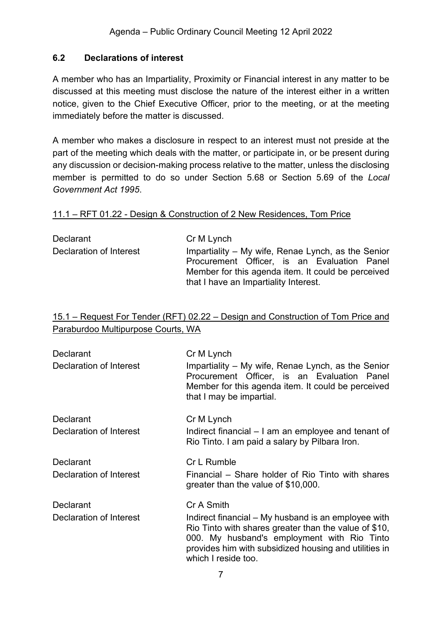## <span id="page-6-0"></span>**6.2 Declarations of interest**

A member who has an Impartiality, Proximity or Financial interest in any matter to be discussed at this meeting must disclose the nature of the interest either in a written notice, given to the Chief Executive Officer, prior to the meeting, or at the meeting immediately before the matter is discussed.

A member who makes a disclosure in respect to an interest must not preside at the part of the meeting which deals with the matter, or participate in, or be present during any discussion or decision-making process relative to the matter, unless the disclosing member is permitted to do so under Section 5.68 or Section 5.69 of the *Local Government Act 1995*.

#### 11.1 – RFT 01.22 - Design & Construction of 2 New Residences, Tom Price

| Cr M Lynch                                                                                                                                                                                       |
|--------------------------------------------------------------------------------------------------------------------------------------------------------------------------------------------------|
| Impartiality – My wife, Renae Lynch, as the Senior<br>Procurement Officer, is an Evaluation Panel<br>Member for this agenda item. It could be perceived<br>that I have an Impartiality Interest. |
|                                                                                                                                                                                                  |

### 15.1 – Request For Tender (RFT) 02.22 – Design and Construction of Tom Price and Paraburdoo Multipurpose Courts, WA

| Declarant<br>Declaration of Interest        | Cr M Lynch<br>Impartiality – My wife, Renae Lynch, as the Senior<br>Procurement Officer, is an Evaluation Panel<br>Member for this agenda item. It could be perceived<br>that I may be impartial.                                                         |
|---------------------------------------------|-----------------------------------------------------------------------------------------------------------------------------------------------------------------------------------------------------------------------------------------------------------|
| <b>Declarant</b><br>Declaration of Interest | Cr M Lynch<br>Indirect financial – I am an employee and tenant of<br>Rio Tinto. I am paid a salary by Pilbara Iron.                                                                                                                                       |
| Declarant<br>Declaration of Interest        | Cr L Rumble<br>Financial – Share holder of Rio Tinto with shares<br>greater than the value of \$10,000.                                                                                                                                                   |
| <b>Declarant</b><br>Declaration of Interest | Cr A Smith<br>Indirect financial – My husband is an employee with<br>Rio Tinto with shares greater than the value of \$10,<br>000. My husband's employment with Rio Tinto<br>provides him with subsidized housing and utilities in<br>which I reside too. |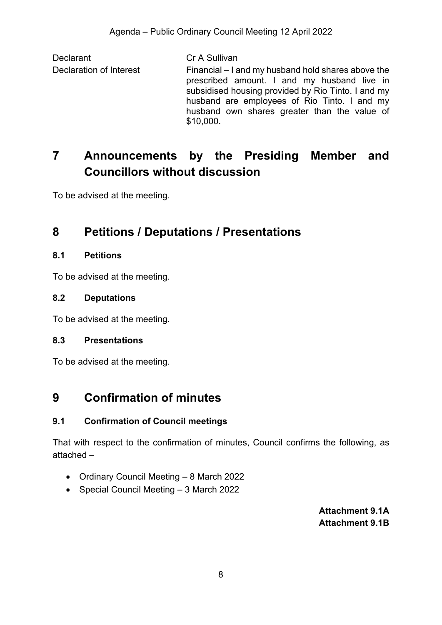Declarant Cr A Sullivan Declaration of Interest Financial – I and my husband hold shares above the prescribed amount. I and my husband live in subsidised housing provided by Rio Tinto. I and my husband are employees of Rio Tinto. I and my husband own shares greater than the value of \$10,000.

# <span id="page-7-0"></span>**7 Announcements by the Presiding Member and Councillors without discussion**

To be advised at the meeting.

## <span id="page-7-1"></span>**8 Petitions / Deputations / Presentations**

### <span id="page-7-2"></span>**8.1 Petitions**

To be advised at the meeting.

### <span id="page-7-3"></span>**8.2 Deputations**

To be advised at the meeting.

## <span id="page-7-4"></span>**8.3 Presentations**

To be advised at the meeting.

## <span id="page-7-5"></span>**9 Confirmation of minutes**

## <span id="page-7-6"></span>**9.1 Confirmation of Council meetings**

That with respect to the confirmation of minutes, Council confirms the following, as attached –

- Ordinary Council Meeting 8 March 2022
- <span id="page-7-8"></span><span id="page-7-7"></span>• Special Council Meeting – 3 March 2022

**Attachment 9.1A Attachment 9.1B**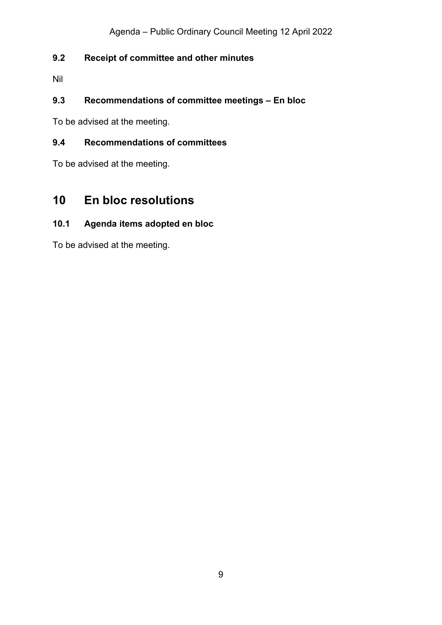## <span id="page-8-0"></span>**9.2 Receipt of committee and other minutes**

Nil

## <span id="page-8-1"></span>**9.3 Recommendations of committee meetings – En bloc**

To be advised at the meeting.

## <span id="page-8-2"></span>**9.4 Recommendations of committees**

To be advised at the meeting.

## <span id="page-8-3"></span>**10 En bloc resolutions**

## <span id="page-8-4"></span>**10.1 Agenda items adopted en bloc**

To be advised at the meeting.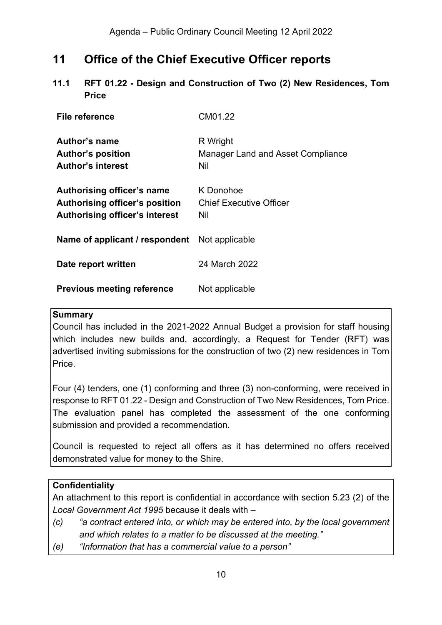## <span id="page-9-0"></span>**11 Office of the Chief Executive Officer reports**

<span id="page-9-1"></span>**11.1 RFT 01.22 - Design and Construction of Two (2) New Residences, Tom Price**

| File reference                                                                                               | CM01.22                                              |
|--------------------------------------------------------------------------------------------------------------|------------------------------------------------------|
| Author's name<br><b>Author's position</b><br><b>Author's interest</b>                                        | R Wright<br>Manager Land and Asset Compliance<br>Nil |
| Authorising officer's name<br><b>Authorising officer's position</b><br><b>Authorising officer's interest</b> | K Donohoe<br><b>Chief Executive Officer</b><br>Nil   |
| Name of applicant / respondent                                                                               | Not applicable                                       |
| Date report written                                                                                          | 24 March 2022                                        |
| <b>Previous meeting reference</b>                                                                            | Not applicable                                       |

#### **Summary**

Council has included in the 2021-2022 Annual Budget a provision for staff housing which includes new builds and, accordingly, a Request for Tender (RFT) was advertised inviting submissions for the construction of two (2) new residences in Tom Price.

Four (4) tenders, one (1) conforming and three (3) non-conforming, were received in response to RFT 01.22 - Design and Construction of Two New Residences, Tom Price. The evaluation panel has completed the assessment of the one conforming submission and provided a recommendation.

Council is requested to reject all offers as it has determined no offers received demonstrated value for money to the Shire.

## **Confidentiality**

An attachment to this report is confidential in accordance with section 5.23 (2) of the *Local Government Act 1995* because it deals with –

- *(c) "a contract entered into, or which may be entered into, by the local government and which relates to a matter to be discussed at the meeting."*
- *(e) "Information that has a commercial value to a person"*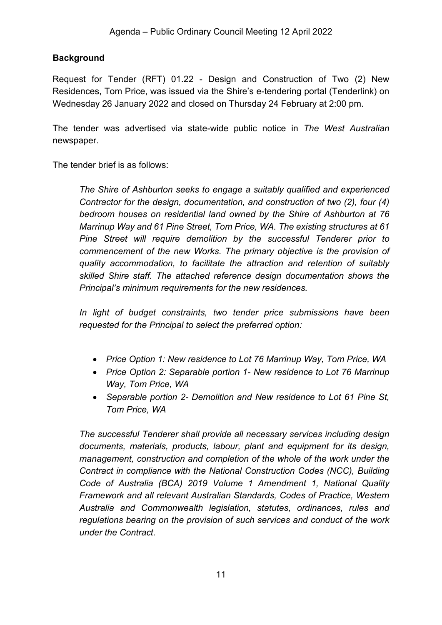## **Background**

Request for Tender (RFT) 01.22 - Design and Construction of Two (2) New Residences, Tom Price, was issued via the Shire's e-tendering portal (Tenderlink) on Wednesday 26 January 2022 and closed on Thursday 24 February at 2:00 pm.

The tender was advertised via state-wide public notice in *The West Australian* newspaper.

The tender brief is as follows:

*The Shire of Ashburton seeks to engage a suitably qualified and experienced Contractor for the design, documentation, and construction of two (2), four (4) bedroom houses on residential land owned by the Shire of Ashburton at 76 Marrinup Way and 61 Pine Street, Tom Price, WA. The existing structures at 61 Pine Street will require demolition by the successful Tenderer prior to commencement of the new Works. The primary objective is the provision of quality accommodation, to facilitate the attraction and retention of suitably skilled Shire staff. The attached reference design documentation shows the Principal's minimum requirements for the new residences.* 

*In light of budget constraints, two tender price submissions have been requested for the Principal to select the preferred option:* 

- *Price Option 1: New residence to Lot 76 Marrinup Way, Tom Price, WA*
- *Price Option 2: Separable portion 1- New residence to Lot 76 Marrinup Way, Tom Price, WA*
- *Separable portion 2- Demolition and New residence to Lot 61 Pine St, Tom Price, WA*

*The successful Tenderer shall provide all necessary services including design documents, materials, products, labour, plant and equipment for its design, management, construction and completion of the whole of the work under the Contract in compliance with the National Construction Codes (NCC), Building Code of Australia (BCA) 2019 Volume 1 Amendment 1, National Quality Framework and all relevant Australian Standards, Codes of Practice, Western Australia and Commonwealth legislation, statutes, ordinances, rules and regulations bearing on the provision of such services and conduct of the work under the Contract*.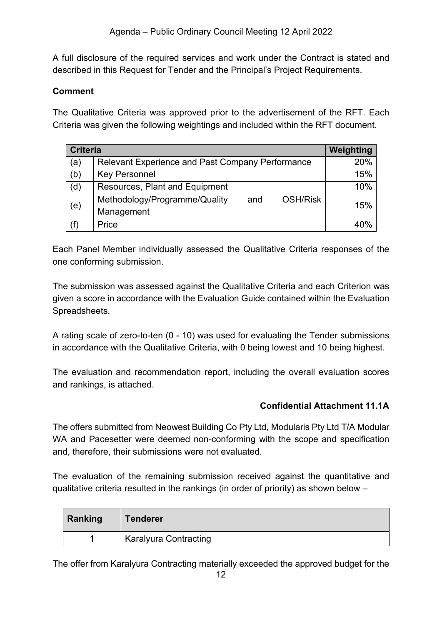A full disclosure of the required services and work under the Contract is stated and described in this Request for Tender and the Principal's Project Requirements.

## **Comment**

The Qualitative Criteria was approved prior to the advertisement of the RFT. Each Criteria was given the following weightings and included within the RFT document.

| <b>Criteria</b> | Weighting                                               |     |
|-----------------|---------------------------------------------------------|-----|
| (a)             | Relevant Experience and Past Company Performance        | 20% |
| (b)             | <b>Key Personnel</b>                                    | 15% |
| (d)             | Resources, Plant and Equipment                          | 10% |
|                 | Methodology/Programme/Quality<br><b>OSH/Risk</b><br>and | 15% |
| (e)             | Management                                              |     |
| (f)             | Price                                                   | 4ሰ% |

Each Panel Member individually assessed the Qualitative Criteria responses of the one conforming submission.

The submission was assessed against the Qualitative Criteria and each Criterion was given a score in accordance with the Evaluation Guide contained within the Evaluation Spreadsheets.

A rating scale of zero-to-ten (0 - 10) was used for evaluating the Tender submissions in accordance with the Qualitative Criteria, with 0 being lowest and 10 being highest.

The evaluation and recommendation report, including the overall evaluation scores and rankings, is attached.

## **Confidential Attachment 11.1A**

<span id="page-11-0"></span>The offers submitted from Neowest Building Co Pty Ltd, Modularis Pty Ltd T/A Modular WA and Pacesetter were deemed non-conforming with the scope and specification and, therefore, their submissions were not evaluated.

The evaluation of the remaining submission received against the quantitative and qualitative criteria resulted in the rankings (in order of priority) as shown below –

| Ranking | <b>Tenderer</b>              |
|---------|------------------------------|
|         | <b>Karalyura Contracting</b> |

The offer from Karalyura Contracting materially exceeded the approved budget for the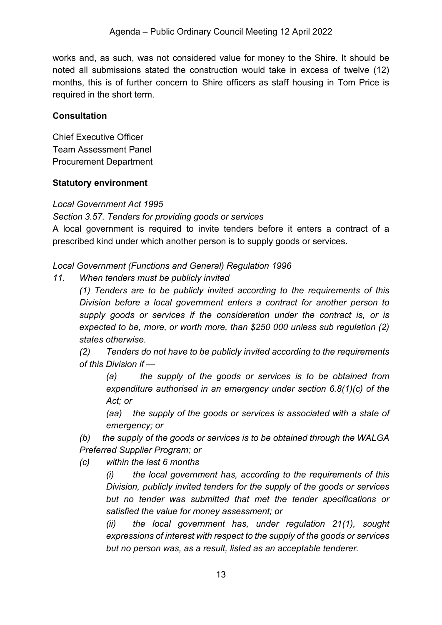works and, as such, was not considered value for money to the Shire. It should be noted all submissions stated the construction would take in excess of twelve (12) months, this is of further concern to Shire officers as staff housing in Tom Price is required in the short term.

## **Consultation**

Chief Executive Officer Team Assessment Panel Procurement Department

#### **Statutory environment**

*Local Government Act 1995* 

*Section 3.57. Tenders for providing goods or services*

A local government is required to invite tenders before it enters a contract of a prescribed kind under which another person is to supply goods or services.

*Local Government (Functions and General) Regulation 1996* 

*11. When tenders must be publicly invited*

*(1) Tenders are to be publicly invited according to the requirements of this Division before a local government enters a contract for another person to supply goods or services if the consideration under the contract is, or is expected to be, more, or worth more, than \$250 000 unless sub regulation (2) states otherwise.*

*(2) Tenders do not have to be publicly invited according to the requirements of this Division if —*

*(a) the supply of the goods or services is to be obtained from expenditure authorised in an emergency under section 6.8(1)(c) of the Act; or*

*(aa) the supply of the goods or services is associated with a state of emergency; or*

*(b) the supply of the goods or services is to be obtained through the WALGA Preferred Supplier Program; or*

*(c) within the last 6 months*

*(i) the local government has, according to the requirements of this Division, publicly invited tenders for the supply of the goods or services but no tender was submitted that met the tender specifications or satisfied the value for money assessment; or* 

*(ii) the local government has, under regulation 21(1), sought expressions of interest with respect to the supply of the goods or services but no person was, as a result, listed as an acceptable tenderer.*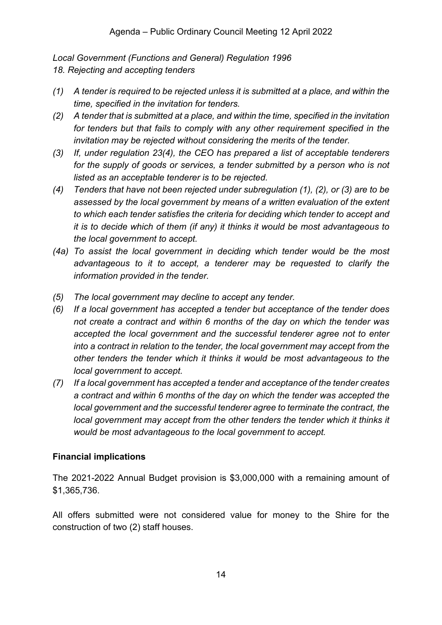*Local Government (Functions and General) Regulation 1996* 

*18. Rejecting and accepting tenders*

- *(1) A tender is required to be rejected unless it is submitted at a place, and within the time, specified in the invitation for tenders.*
- *(2) A tender that is submitted at a place, and within the time, specified in the invitation for tenders but that fails to comply with any other requirement specified in the invitation may be rejected without considering the merits of the tender.*
- *(3) If, under regulation 23(4), the CEO has prepared a list of acceptable tenderers*  for the supply of goods or services, a tender submitted by a person who is not *listed as an acceptable tenderer is to be rejected.*
- *(4) Tenders that have not been rejected under subregulation (1), (2), or (3) are to be assessed by the local government by means of a written evaluation of the extent to which each tender satisfies the criteria for deciding which tender to accept and it is to decide which of them (if any) it thinks it would be most advantageous to the local government to accept.*
- *(4a) To assist the local government in deciding which tender would be the most advantageous to it to accept, a tenderer may be requested to clarify the information provided in the tender.*
- *(5) The local government may decline to accept any tender.*
- *(6) If a local government has accepted a tender but acceptance of the tender does not create a contract and within 6 months of the day on which the tender was accepted the local government and the successful tenderer agree not to enter into a contract in relation to the tender, the local government may accept from the other tenders the tender which it thinks it would be most advantageous to the local government to accept.*
- *(7) If a local government has accepted a tender and acceptance of the tender creates a contract and within 6 months of the day on which the tender was accepted the local government and the successful tenderer agree to terminate the contract, the*  local government may accept from the other tenders the tender which it thinks it *would be most advantageous to the local government to accept.*

## **Financial implications**

The 2021-2022 Annual Budget provision is \$3,000,000 with a remaining amount of \$1,365,736.

All offers submitted were not considered value for money to the Shire for the construction of two (2) staff houses.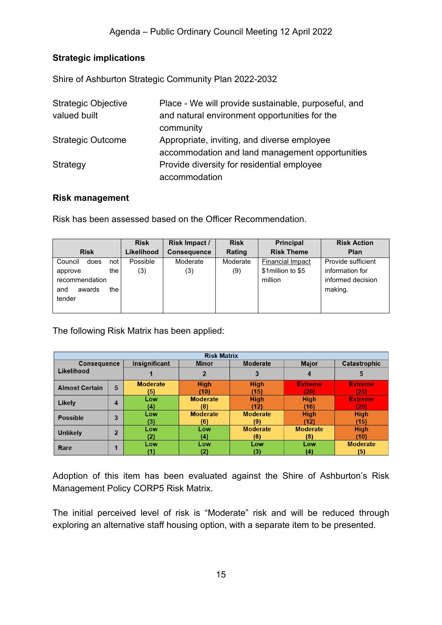## **Strategic implications**

Shire of Ashburton Strategic Community Plan 2022-2032

| <b>Strategic Objective</b> | Place - We will provide sustainable, purposeful, and |
|----------------------------|------------------------------------------------------|
| valued built               | and natural environment opportunities for the        |
|                            | community                                            |
| <b>Strategic Outcome</b>   | Appropriate, inviting, and diverse employee          |
|                            | accommodation and land management opportunities      |
| Strategy                   | Provide diversity for residential employee           |
|                            | accommodation                                        |

#### **Risk management**

Risk has been assessed based on the Officer Recommendation.

|                          | <b>Risk</b> | Risk Impact /      | <b>Risk</b> | <b>Principal</b>        | <b>Risk Action</b> |
|--------------------------|-------------|--------------------|-------------|-------------------------|--------------------|
| <b>Risk</b>              | Likelihood  | <b>Consequence</b> | Rating      | <b>Risk Theme</b>       | Plan               |
| does<br>Council<br>not l | Possible    | Moderate           | Moderate    | <b>Financial Impact</b> | Provide sufficient |
| the I<br>approve         | (3)         | (3)                | (9)         | \$1 million to \$5      | information for    |
| recommendation           |             |                    |             | million                 | informed decision  |
| and<br>the<br>awards     |             |                    |             |                         | making.            |
| tender                   |             |                    |             |                         |                    |
|                          |             |                    |             |                         |                    |

The following Risk Matrix has been applied:

| <b>Risk Matrix</b>    |                |                 |                          |                 |                 |                 |
|-----------------------|----------------|-----------------|--------------------------|-----------------|-----------------|-----------------|
| <b>Consequence</b>    |                | Insignificant   | Moderate<br><b>Minor</b> |                 | <b>Major</b>    | Catastrophic    |
| Likelihood            |                |                 |                          | 3               |                 | 5               |
| <b>Almost Certain</b> | 5              | <b>Moderate</b> | <b>High</b>              | <b>High</b>     | <b>Extreme</b>  | <b>Extreme</b>  |
|                       |                | (5)             | (10)                     | (15)            | (20)            | (25)            |
| Likely                | 4              | Low             | <b>Moderate</b>          | <b>High</b>     | <b>High</b>     | <b>Extreme</b>  |
|                       |                | (4)             | (8)                      | (12)            | (16)            | (20)            |
| <b>Possible</b>       | 3              | Low             | <b>Moderate</b>          | <b>Moderate</b> | <b>High</b>     | <b>High</b>     |
|                       |                | (3)             | (6)                      | (9)             | (12)            | (15)            |
| <b>Unlikely</b>       | $\overline{2}$ | Low             | Low                      | <b>Moderate</b> | <b>Moderate</b> | <b>High</b>     |
|                       |                | (2              | (4)                      | (6)             | (8)             | (10)            |
| Rare                  | п              | Low             | Low                      | Low             | Low             | <b>Moderate</b> |
|                       |                |                 | (2)                      | (3)             | (4)             | (5)             |

Adoption of this item has been evaluated against the Shire of Ashburton's Risk Management Policy CORP5 Risk Matrix.

The initial perceived level of risk is "Moderate" risk and will be reduced through exploring an alternative staff housing option, with a separate item to be presented.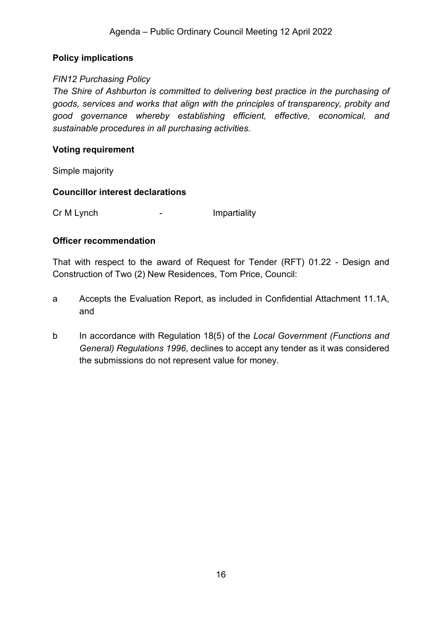### **Policy implications**

#### *FIN12 Purchasing Policy*

*The Shire of Ashburton is committed to delivering best practice in the purchasing of goods, services and works that align with the principles of transparency, probity and good governance whereby establishing efficient, effective, economical, and sustainable procedures in all purchasing activities.*

#### **Voting requirement**

Simple majority

#### **Councillor interest declarations**

Cr M Lynch **-** Impartiality

#### **Officer recommendation**

That with respect to the award of Request for Tender (RFT) 01.22 - Design and Construction of Two (2) New Residences, Tom Price, Council:

- a Accepts the Evaluation Report, as included in Confidential Attachment 11.1A, and
- b In accordance with Regulation 18(5) of the *Local Government (Functions and General) Regulations 1996*, declines to accept any tender as it was considered the submissions do not represent value for money.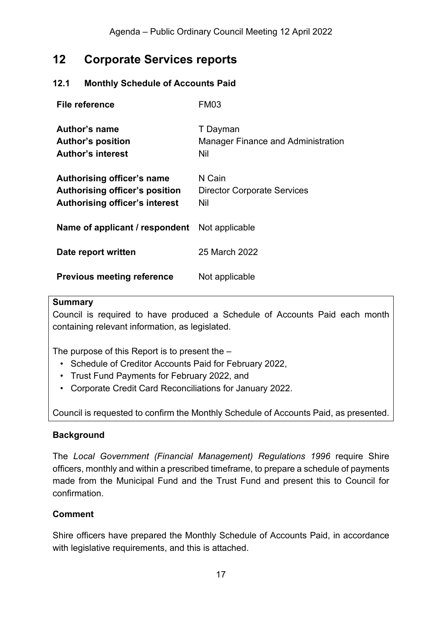## <span id="page-16-0"></span>**12 Corporate Services reports**

## <span id="page-16-1"></span>**12.1 Monthly Schedule of Accounts Paid**

| File reference                                                                                               | FM03                                                  |
|--------------------------------------------------------------------------------------------------------------|-------------------------------------------------------|
| Author's name<br><b>Author's position</b><br><b>Author's interest</b>                                        | T Dayman<br>Manager Finance and Administration<br>Nil |
| Authorising officer's name<br><b>Authorising officer's position</b><br><b>Authorising officer's interest</b> | N Cain<br><b>Director Corporate Services</b><br>Nil   |
| Name of applicant / respondent                                                                               | Not applicable                                        |
| Date report written                                                                                          | 25 March 2022                                         |
| <b>Previous meeting reference</b>                                                                            | Not applicable                                        |

#### **Summary**

Council is required to have produced a Schedule of Accounts Paid each month containing relevant information, as legislated.

The purpose of this Report is to present the –

- Schedule of Creditor Accounts Paid for February 2022,
- Trust Fund Payments for February 2022, and
- Corporate Credit Card Reconciliations for January 2022.

Council is requested to confirm the Monthly Schedule of Accounts Paid, as presented.

#### **Background**

The *Local Government (Financial Management) Regulations 1996* require Shire officers, monthly and within a prescribed timeframe, to prepare a schedule of payments made from the Municipal Fund and the Trust Fund and present this to Council for confirmation.

## **Comment**

Shire officers have prepared the Monthly Schedule of Accounts Paid, in accordance with legislative requirements, and this is attached.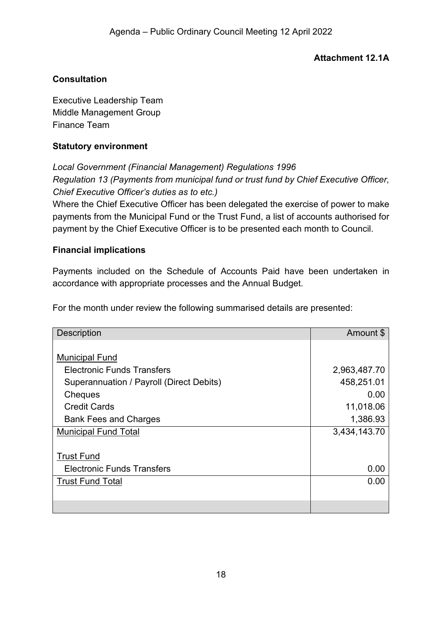## **Attachment 12.1A**

## <span id="page-17-0"></span>**Consultation**

Executive Leadership Team Middle Management Group Finance Team

#### **Statutory environment**

*Local Government (Financial Management) Regulations 1996 Regulation 13 (Payments from municipal fund or trust fund by Chief Executive Officer, Chief Executive Officer's duties as to etc.)*

Where the Chief Executive Officer has been delegated the exercise of power to make payments from the Municipal Fund or the Trust Fund, a list of accounts authorised for payment by the Chief Executive Officer is to be presented each month to Council.

### **Financial implications**

Payments included on the Schedule of Accounts Paid have been undertaken in accordance with appropriate processes and the Annual Budget.

For the month under review the following summarised details are presented:

| <b>Description</b>                       | Amount \$    |
|------------------------------------------|--------------|
|                                          |              |
| <b>Municipal Fund</b>                    |              |
| <b>Electronic Funds Transfers</b>        | 2,963,487.70 |
| Superannuation / Payroll (Direct Debits) | 458,251.01   |
| Cheques                                  | 0.00         |
| <b>Credit Cards</b>                      | 11,018.06    |
| <b>Bank Fees and Charges</b>             | 1,386.93     |
| <b>Municipal Fund Total</b>              | 3,434,143.70 |
|                                          |              |
| <b>Trust Fund</b>                        |              |
| <b>Electronic Funds Transfers</b>        | 0.00         |
| <b>Trust Fund Total</b>                  | 0.00         |
|                                          |              |
|                                          |              |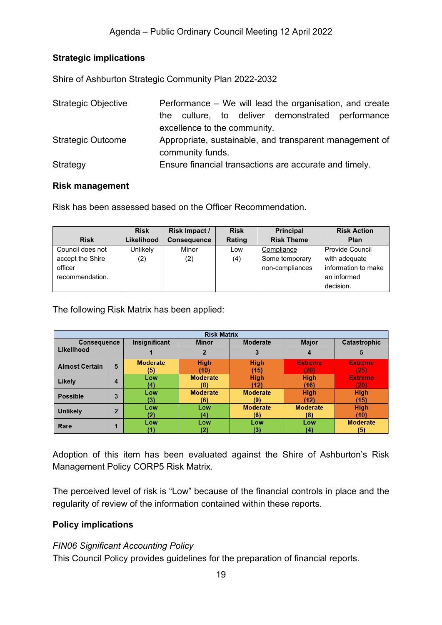## **Strategic implications**

Shire of Ashburton Strategic Community Plan 2022-2032

| <b>Strategic Objective</b>                                                          | Performance – We will lead the organisation, and create |  |  |  |  |
|-------------------------------------------------------------------------------------|---------------------------------------------------------|--|--|--|--|
|                                                                                     | culture, to deliver demonstrated performance<br>the     |  |  |  |  |
|                                                                                     | excellence to the community.                            |  |  |  |  |
| <b>Strategic Outcome</b><br>Appropriate, sustainable, and transparent management of |                                                         |  |  |  |  |
|                                                                                     | community funds.                                        |  |  |  |  |
| Strategy                                                                            | Ensure financial transactions are accurate and timely.  |  |  |  |  |

#### **Risk management**

Risk has been assessed based on the Officer Recommendation.

|                  | <b>Risk</b> | Risk Impact /      | <b>Risk</b> | <b>Principal</b>  | <b>Risk Action</b>     |
|------------------|-------------|--------------------|-------------|-------------------|------------------------|
| <b>Risk</b>      | Likelihood  | <b>Consequence</b> | Rating      | <b>Risk Theme</b> | Plan                   |
| Council does not | Unlikely    | Minor              | Low         | Compliance        | <b>Provide Council</b> |
| accept the Shire | (2)         | (2)                | (4)         | Some temporary    | with adequate          |
| officer          |             |                    |             | non-compliances   | information to make    |
| recommendation.  |             |                    |             |                   | an informed            |
|                  |             |                    |             |                   | decision.              |

The following Risk Matrix has been applied:

| <b>Risk Matrix</b>    |                |                               |                 |                 |                 |                 |
|-----------------------|----------------|-------------------------------|-----------------|-----------------|-----------------|-----------------|
| <b>Consequence</b>    |                | Insignificant<br><b>Minor</b> |                 | <b>Moderate</b> | <b>Major</b>    | Catastrophic    |
| Likelihood            |                |                               |                 |                 | 4               | 5               |
| <b>Almost Certain</b> | 5              | <b>Moderate</b>               | <b>High</b>     | <b>High</b>     | <b>Extremer</b> | <b>Extreme</b>  |
|                       |                | (5)                           | (10)            | (15)            | 20)             | (25)            |
| Likely                | 4              | Low                           | <b>Moderate</b> | <b>High</b>     | <b>High</b>     | <b>Extreme</b>  |
|                       |                | (4)                           | (8)             | (12)            | (16)            | (20)            |
| <b>Possible</b>       | 3              | Low                           | <b>Moderate</b> | <b>Moderate</b> | <b>High</b>     | <b>High</b>     |
|                       |                | (3)                           | (6)             | (9)             | (12)            | (15)            |
| <b>Unlikely</b>       | $\overline{2}$ | Low                           | Low             | <b>Moderate</b> | <b>Moderate</b> | <b>High</b>     |
|                       |                | (2)                           | (4)             | (6)             | (8)             | (10)            |
| Rare                  | л              | Low                           | Low             | Low             | Low             | <b>Moderate</b> |
|                       |                |                               |                 | (3)             | (4)             | (5)             |

Adoption of this item has been evaluated against the Shire of Ashburton's Risk Management Policy CORP5 Risk Matrix.

The perceived level of risk is "Low" because of the financial controls in place and the regularity of review of the information contained within these reports.

#### **Policy implications**

#### *FIN06 Significant Accounting Policy*

This Council Policy provides guidelines for the preparation of financial reports.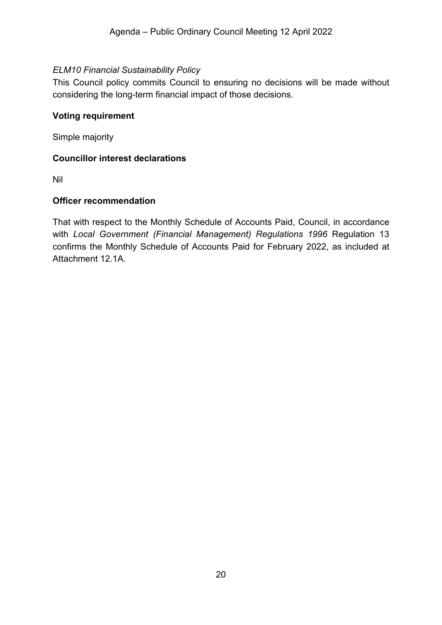### *ELM10 Financial Sustainability Policy*

This Council policy commits Council to ensuring no decisions will be made without considering the long-term financial impact of those decisions.

#### **Voting requirement**

Simple majority

#### **Councillor interest declarations**

Nil

#### **Officer recommendation**

That with respect to the Monthly Schedule of Accounts Paid, Council, in accordance with *Local Government (Financial Management) Regulations 1996* Regulation 13 confirms the Monthly Schedule of Accounts Paid for February 2022, as included at Attachment 12.1A.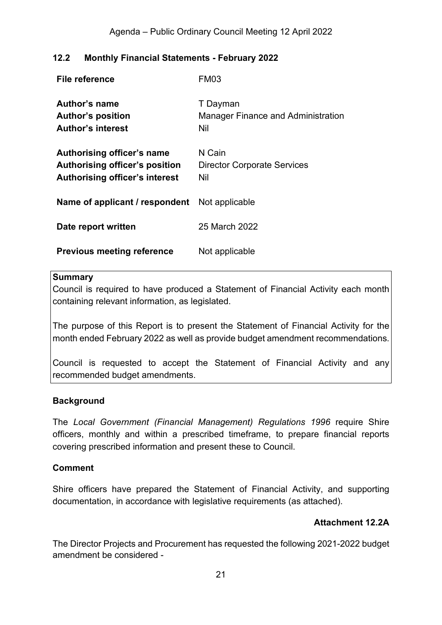## <span id="page-20-0"></span>**12.2 Monthly Financial Statements - February 2022**

| File reference                                                                                        | <b>FM03</b>                                                  |
|-------------------------------------------------------------------------------------------------------|--------------------------------------------------------------|
| Author's name<br><b>Author's position</b><br><b>Author's interest</b>                                 | T Dayman<br><b>Manager Finance and Administration</b><br>Nil |
| Authorising officer's name<br>Authorising officer's position<br><b>Authorising officer's interest</b> | N Cain<br><b>Director Corporate Services</b><br>Nil          |
| <b>Name of applicant / respondent</b> Not applicable                                                  |                                                              |
| Date report written                                                                                   | 25 March 2022                                                |
| <b>Previous meeting reference</b>                                                                     | Not applicable                                               |

#### **Summary**

Council is required to have produced a Statement of Financial Activity each month containing relevant information, as legislated.

The purpose of this Report is to present the Statement of Financial Activity for the month ended February 2022 as well as provide budget amendment recommendations.

Council is requested to accept the Statement of Financial Activity and any recommended budget amendments.

#### **Background**

The *Local Government (Financial Management) Regulations 1996* require Shire officers, monthly and within a prescribed timeframe, to prepare financial reports covering prescribed information and present these to Council.

#### **Comment**

Shire officers have prepared the Statement of Financial Activity, and supporting documentation, in accordance with legislative requirements (as attached).

## **Attachment 12.2A**

<span id="page-20-1"></span>The Director Projects and Procurement has requested the following 2021-2022 budget amendment be considered -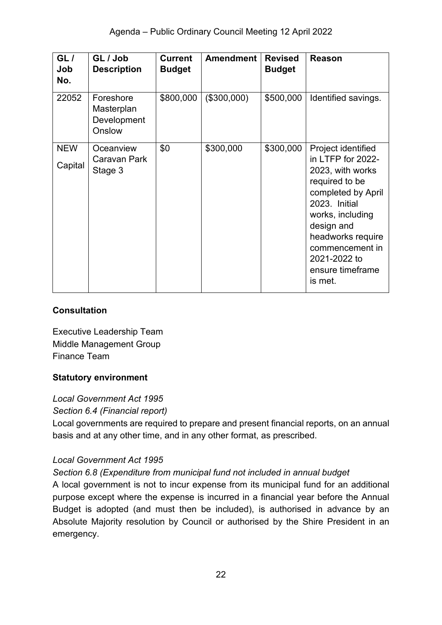| GL/<br>Job<br>No.     | GL / Job<br><b>Description</b>                   | <b>Current</b><br><b>Budget</b> | <b>Amendment</b> | <b>Revised</b><br><b>Budget</b> | Reason                                                                                                                                                                                                                                        |
|-----------------------|--------------------------------------------------|---------------------------------|------------------|---------------------------------|-----------------------------------------------------------------------------------------------------------------------------------------------------------------------------------------------------------------------------------------------|
| 22052                 | Foreshore<br>Masterplan<br>Development<br>Onslow | \$800,000                       | (\$300,000)      | \$500,000                       | Identified savings.                                                                                                                                                                                                                           |
| <b>NEW</b><br>Capital | Oceanview<br>Caravan Park<br>Stage 3             | \$0                             | \$300,000        | \$300,000                       | Project identified<br>in LTFP for 2022-<br>2023, with works<br>required to be<br>completed by April<br>2023. Initial<br>works, including<br>design and<br>headworks require<br>commencement in<br>2021-2022 to<br>ensure timeframe<br>is met. |

## **Consultation**

Executive Leadership Team Middle Management Group Finance Team

## **Statutory environment**

*Local Government Act 1995*

*Section 6.4 (Financial report)*

Local governments are required to prepare and present financial reports, on an annual basis and at any other time, and in any other format, as prescribed.

## *Local Government Act 1995*

## *Section 6.8 (Expenditure from municipal fund not included in annual budget*

A local government is not to incur expense from its municipal fund for an additional purpose except where the expense is incurred in a financial year before the Annual Budget is adopted (and must then be included), is authorised in advance by an Absolute Majority resolution by Council or authorised by the Shire President in an emergency.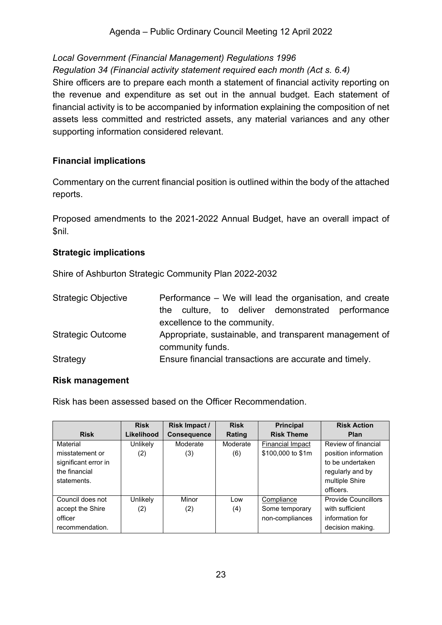Agenda – Public Ordinary Council Meeting 12 April 2022

## *Local Government (Financial Management) Regulations 1996*

#### *Regulation 34 (Financial activity statement required each month (Act s. 6.4)*

Shire officers are to prepare each month a statement of financial activity reporting on the revenue and expenditure as set out in the annual budget. Each statement of financial activity is to be accompanied by information explaining the composition of net assets less committed and restricted assets, any material variances and any other supporting information considered relevant.

#### **Financial implications**

Commentary on the current financial position is outlined within the body of the attached reports.

Proposed amendments to the 2021-2022 Annual Budget, have an overall impact of \$nil.

#### **Strategic implications**

Shire of Ashburton Strategic Community Plan 2022-2032

| <b>Strategic Objective</b> | Performance – We will lead the organisation, and create |
|----------------------------|---------------------------------------------------------|
|                            | culture, to deliver demonstrated performance<br>the     |
|                            | excellence to the community.                            |
| <b>Strategic Outcome</b>   | Appropriate, sustainable, and transparent management of |
|                            | community funds.                                        |
| Strategy                   | Ensure financial transactions are accurate and timely.  |

#### **Risk management**

Risk has been assessed based on the Officer Recommendation.

|                      | <b>Risk</b> | Risk Impact /      | <b>Risk</b> | <b>Principal</b>        | <b>Risk Action</b>         |
|----------------------|-------------|--------------------|-------------|-------------------------|----------------------------|
| <b>Risk</b>          | Likelihood  | <b>Consequence</b> | Rating      | <b>Risk Theme</b>       | <b>Plan</b>                |
| Material             | Unlikely    | Moderate           | Moderate    | <b>Financial Impact</b> | Review of financial        |
| misstatement or      | (2)         | (3)                | (6)         | \$100,000 to \$1m       | position information       |
| significant error in |             |                    |             |                         | to be undertaken           |
| the financial        |             |                    |             |                         | regularly and by           |
| statements.          |             |                    |             |                         | multiple Shire             |
|                      |             |                    |             |                         | officers.                  |
| Council does not     | Unlikely    | Minor              | Low         | Compliance              | <b>Provide Councillors</b> |
| accept the Shire     | (2)         | (2)                | (4)         | Some temporary          | with sufficient            |
| officer              |             |                    |             | non-compliances         | information for            |
| recommendation.      |             |                    |             |                         | decision making.           |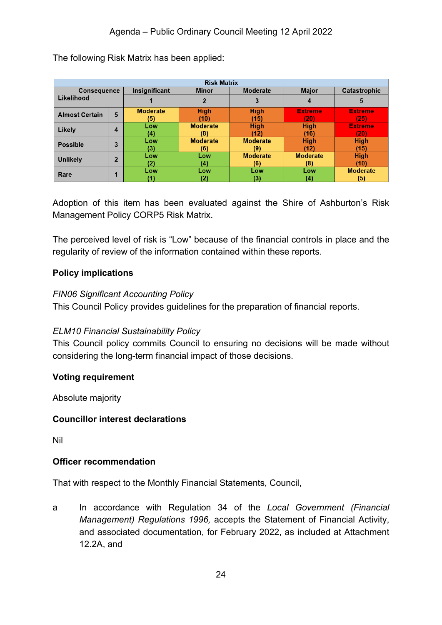| <b>Risk Matrix</b>                |   |                               |                 |                 |                 |                 |
|-----------------------------------|---|-------------------------------|-----------------|-----------------|-----------------|-----------------|
| <b>Consequence</b>                |   | Insignificant<br><b>Minor</b> |                 | <b>Moderate</b> | <b>Major</b>    | Catastrophic    |
| Likelihood                        |   |                               |                 | 3               | 4               | 5               |
| <b>Almost Certain</b>             | 5 | <b>Moderate</b>               | <b>High</b>     | <b>High</b>     | <b>Extreme</b>  | <b>Extreme</b>  |
|                                   |   | (5)                           | (10)            | (15)            | 201             | (25)            |
| Likely                            | 4 | Low                           | <b>Moderate</b> | <b>High</b>     | <b>High</b>     | <b>Extreme</b>  |
|                                   |   | (4)                           | (8)             | (12)            | (16)            | (20)            |
| <b>Possible</b>                   | 3 | Low                           | <b>Moderate</b> | <b>Moderate</b> | <b>High</b>     | <b>High</b>     |
|                                   |   | (3)                           | (6)             | (9)             | (12)            | (15)            |
| $\overline{2}$<br><b>Unlikely</b> |   | Low                           | Low             | <b>Moderate</b> | <b>Moderate</b> | <b>High</b>     |
|                                   |   | 12).                          | (4)             | (6)             | (8)             | (10)            |
| Rare                              | и | Low                           | Low             | Low             | Low             | <b>Moderate</b> |
|                                   |   |                               | (2)             | (3)             | (4)             | (5)             |

The following Risk Matrix has been applied:

Adoption of this item has been evaluated against the Shire of Ashburton's Risk Management Policy CORP5 Risk Matrix.

The perceived level of risk is "Low" because of the financial controls in place and the regularity of review of the information contained within these reports.

### **Policy implications**

#### *FIN06 Significant Accounting Policy*

This Council Policy provides guidelines for the preparation of financial reports.

#### *ELM10 Financial Sustainability Policy*

This Council policy commits Council to ensuring no decisions will be made without considering the long-term financial impact of those decisions.

#### **Voting requirement**

Absolute majority

#### **Councillor interest declarations**

Nil

#### **Officer recommendation**

That with respect to the Monthly Financial Statements, Council,

a In accordance with Regulation 34 of the *Local Government (Financial Management) Regulations 1996,* accepts the Statement of Financial Activity, and associated documentation, for February 2022, as included at Attachment 12.2A, and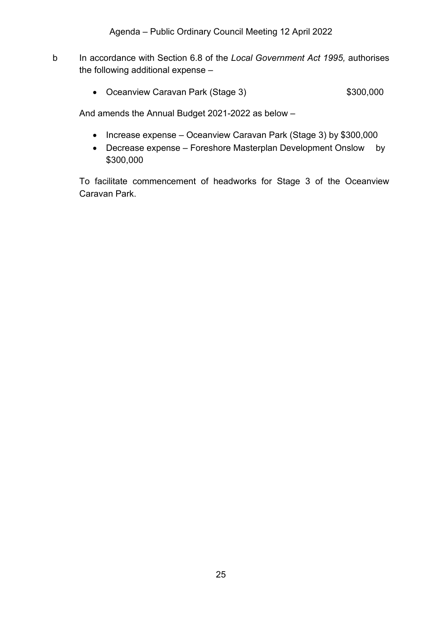- b In accordance with Section 6.8 of the *Local Government Act 1995,* authorises the following additional expense –
	- Oceanview Caravan Park (Stage 3) \$300,000

And amends the Annual Budget 2021-2022 as below –

- Increase expense Oceanview Caravan Park (Stage 3) by \$300,000
- Decrease expense Foreshore Masterplan Development Onslow by \$300,000

To facilitate commencement of headworks for Stage 3 of the Oceanview Caravan Park.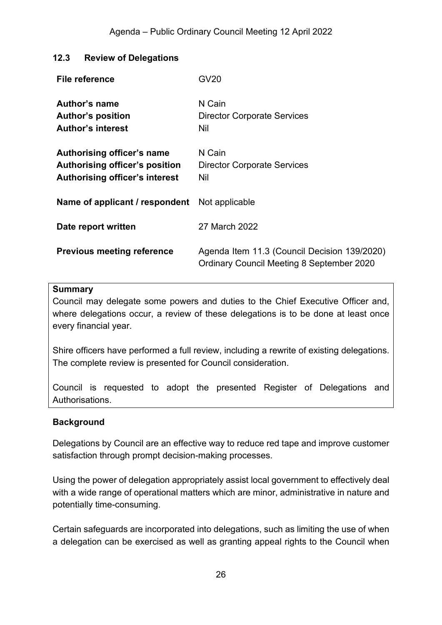## <span id="page-25-0"></span>**12.3 Review of Delegations**

| <b>File reference</b>                                                                                 | GV20                                                                                             |
|-------------------------------------------------------------------------------------------------------|--------------------------------------------------------------------------------------------------|
| Author's name<br><b>Author's position</b><br><b>Author's interest</b>                                 | N Cain<br><b>Director Corporate Services</b><br>Nil                                              |
| Authorising officer's name<br>Authorising officer's position<br><b>Authorising officer's interest</b> | N Cain<br><b>Director Corporate Services</b><br>Nil                                              |
| <b>Name of applicant / respondent</b> Not applicable                                                  |                                                                                                  |
| Date report written                                                                                   | 27 March 2022                                                                                    |
| <b>Previous meeting reference</b>                                                                     | Agenda Item 11.3 (Council Decision 139/2020)<br><b>Ordinary Council Meeting 8 September 2020</b> |

#### **Summary**

Council may delegate some powers and duties to the Chief Executive Officer and, where delegations occur, a review of these delegations is to be done at least once every financial year.

Shire officers have performed a full review, including a rewrite of existing delegations. The complete review is presented for Council consideration.

Council is requested to adopt the presented Register of Delegations and Authorisations.

#### **Background**

Delegations by Council are an effective way to reduce red tape and improve customer satisfaction through prompt decision-making processes.

Using the power of delegation appropriately assist local government to effectively deal with a wide range of operational matters which are minor, administrative in nature and potentially time-consuming.

Certain safeguards are incorporated into delegations, such as limiting the use of when a delegation can be exercised as well as granting appeal rights to the Council when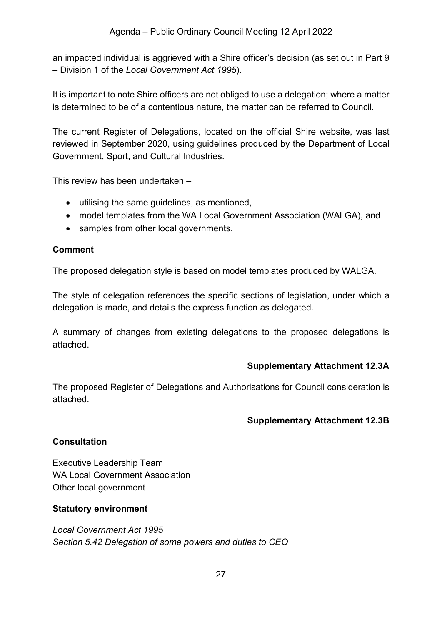an impacted individual is aggrieved with a Shire officer's decision (as set out in Part 9 – Division 1 of the *Local Government Act 1995*).

It is important to note Shire officers are not obliged to use a delegation; where a matter is determined to be of a contentious nature, the matter can be referred to Council.

The current Register of Delegations, located on the official Shire website, was last reviewed in September 2020, using guidelines produced by the Department of Local Government, Sport, and Cultural Industries.

This review has been undertaken –

- utilising the same guidelines, as mentioned,
- model templates from the WA Local Government Association (WALGA), and
- samples from other local governments.

### **Comment**

The proposed delegation style is based on model templates produced by WALGA.

The style of delegation references the specific sections of legislation, under which a delegation is made, and details the express function as delegated.

A summary of changes from existing delegations to the proposed delegations is attached.

#### **Supplementary Attachment 12.3A**

<span id="page-26-0"></span>The proposed Register of Delegations and Authorisations for Council consideration is attached.

## <span id="page-26-1"></span>**Supplementary Attachment 12.3B**

#### **Consultation**

Executive Leadership Team WA Local Government Association Other local government

#### **Statutory environment**

*Local Government Act 1995 Section 5.42 Delegation of some powers and duties to CEO*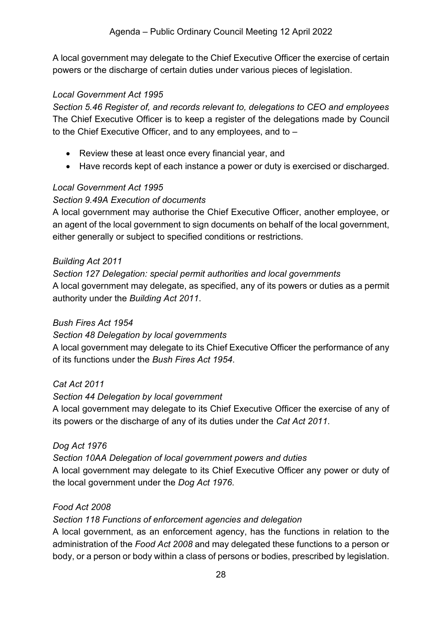A local government may delegate to the Chief Executive Officer the exercise of certain powers or the discharge of certain duties under various pieces of legislation.

### *Local Government Act 1995*

*Section 5.46 Register of, and records relevant to, delegations to CEO and employees* The Chief Executive Officer is to keep a register of the delegations made by Council to the Chief Executive Officer, and to any employees, and to –

- Review these at least once every financial year, and
- Have records kept of each instance a power or duty is exercised or discharged.

## *Local Government Act 1995*

## *Section 9.49A Execution of documents*

A local government may authorise the Chief Executive Officer, another employee, or an agent of the local government to sign documents on behalf of the local government, either generally or subject to specified conditions or restrictions.

#### *Building Act 2011*

*Section 127 Delegation: special permit authorities and local governments* A local government may delegate, as specified, any of its powers or duties as a permit authority under the *Building Act 2011*.

## *Bush Fires Act 1954*

#### *Section 48 Delegation by local governments*

A local government may delegate to its Chief Executive Officer the performance of any of its functions under the *Bush Fires Act 1954*.

#### *Cat Act 2011*

## *Section 44 Delegation by local government*

A local government may delegate to its Chief Executive Officer the exercise of any of its powers or the discharge of any of its duties under the *Cat Act 2011*.

## *Dog Act 1976*

## *Section 10AA Delegation of local government powers and duties*

A local government may delegate to its Chief Executive Officer any power or duty of the local government under the *Dog Act 1976*.

## *Food Act 2008*

#### *Section 118 Functions of enforcement agencies and delegation*

A local government, as an enforcement agency, has the functions in relation to the administration of the *Food Act 2008* and may delegated these functions to a person or body, or a person or body within a class of persons or bodies, prescribed by legislation.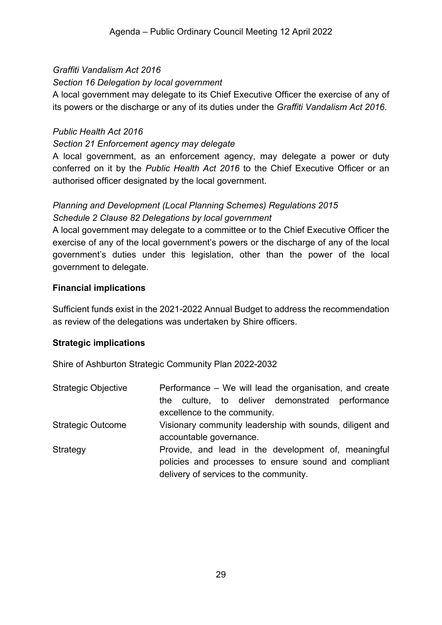## *Graffiti Vandalism Act 2016*

## *Section 16 Delegation by local government*

A local government may delegate to its Chief Executive Officer the exercise of any of its powers or the discharge or any of its duties under the *Graffiti Vandalism Act 2016*.

#### *Public Health Act 2016*

### *Section 21 Enforcement agency may delegate*

A local government, as an enforcement agency, may delegate a power or duty conferred on it by the *Public Health Act 2016* to the Chief Executive Officer or an authorised officer designated by the local government.

## *Planning and Development (Local Planning Schemes) Regulations 2015 Schedule 2 Clause 82 Delegations by local government*

A local government may delegate to a committee or to the Chief Executive Officer the exercise of any of the local government's powers or the discharge of any of the local government's duties under this legislation, other than the power of the local government to delegate.

### **Financial implications**

Sufficient funds exist in the 2021-2022 Annual Budget to address the recommendation as review of the delegations was undertaken by Shire officers.

## **Strategic implications**

Shire of Ashburton Strategic Community Plan 2022-2032

| <b>Strategic Objective</b> | Performance – We will lead the organisation, and create<br>the culture, to deliver demonstrated performance<br>excellence to the community.           |  |  |  |  |  |
|----------------------------|-------------------------------------------------------------------------------------------------------------------------------------------------------|--|--|--|--|--|
| <b>Strategic Outcome</b>   | Visionary community leadership with sounds, diligent and<br>accountable governance.                                                                   |  |  |  |  |  |
| Strategy                   | Provide, and lead in the development of, meaningful<br>policies and processes to ensure sound and compliant<br>delivery of services to the community. |  |  |  |  |  |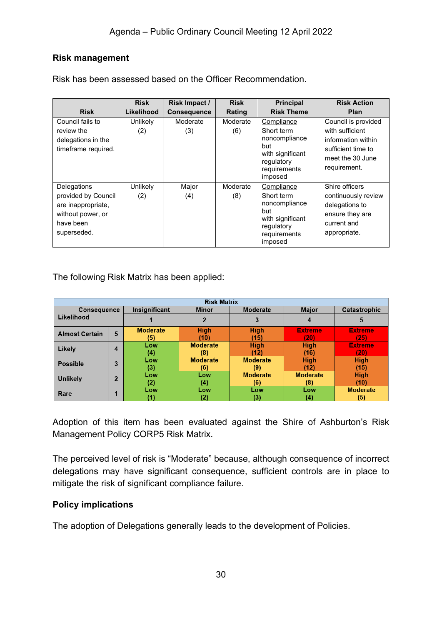#### **Risk management**

|                                                                                                           | <b>Risk</b>     | Risk Impact /      | <b>Risk</b>     | <b>Principal</b>                                                                                              | <b>Risk Action</b>                                                                                                     |
|-----------------------------------------------------------------------------------------------------------|-----------------|--------------------|-----------------|---------------------------------------------------------------------------------------------------------------|------------------------------------------------------------------------------------------------------------------------|
| <b>Risk</b>                                                                                               | Likelihood      | <b>Consequence</b> | Rating          | <b>Risk Theme</b>                                                                                             | Plan                                                                                                                   |
| Council fails to<br>review the<br>delegations in the<br>timeframe required.                               | Unlikely<br>(2) | Moderate<br>(3)    | Moderate<br>(6) | Compliance<br>Short term<br>noncompliance<br>but<br>with significant<br>regulatory<br>requirements<br>imposed | Council is provided<br>with sufficient<br>information within<br>sufficient time to<br>meet the 30 June<br>requirement. |
| Delegations<br>provided by Council<br>are inappropriate,<br>without power, or<br>have been<br>superseded. | Unlikely<br>(2) | Major<br>(4)       | Moderate<br>(8) | Compliance<br>Short term<br>noncompliance<br>but<br>with significant<br>regulatory<br>requirements<br>imposed | Shire officers<br>continuously review<br>delegations to<br>ensure they are<br>current and<br>appropriate.              |

Risk has been assessed based on the Officer Recommendation.

The following Risk Matrix has been applied:

| <b>Risk Matrix</b>    |                |                 |                          |                 |                 |                 |
|-----------------------|----------------|-----------------|--------------------------|-----------------|-----------------|-----------------|
| <b>Consequence</b>    |                | Insignificant   | Moderate<br><b>Minor</b> |                 | <b>Major</b>    | Catastrophic    |
| Likelihood            |                |                 |                          | 3               | 4               | 5               |
| <b>Almost Certain</b> | 5              | <b>Moderate</b> | <b>High</b>              | <b>High</b>     | <b>Extreme</b>  | <b>Extreme</b>  |
|                       |                | (5)             | (10)                     | (15)            | (20)            | (25)            |
| Likely                |                | Low             | <b>Moderate</b>          | <b>High</b>     | <b>High</b>     | <b>Extreme</b>  |
|                       | 4              | (4)             | (8)                      | (12)            | (16)            | (20)            |
| <b>Possible</b>       | 3              | Low             | <b>Moderate</b>          | <b>Moderate</b> | <b>High</b>     | <b>High</b>     |
|                       |                | (3)             | (6)                      | (9)             | (12)            | (15)            |
| <b>Unlikely</b>       | $\overline{2}$ | Low             | Low                      | <b>Moderate</b> | <b>Moderate</b> | <b>High</b>     |
|                       |                | (2)             | (4)                      | (6)             | (8)             | (10)            |
| Rare                  |                | Low             | Low                      | Low             | Low             | <b>Moderate</b> |
|                       |                |                 | (2)                      | (3)             | (4)             | (5)             |

Adoption of this item has been evaluated against the Shire of Ashburton's Risk Management Policy CORP5 Risk Matrix.

The perceived level of risk is "Moderate" because, although consequence of incorrect delegations may have significant consequence, sufficient controls are in place to mitigate the risk of significant compliance failure.

#### **Policy implications**

The adoption of Delegations generally leads to the development of Policies.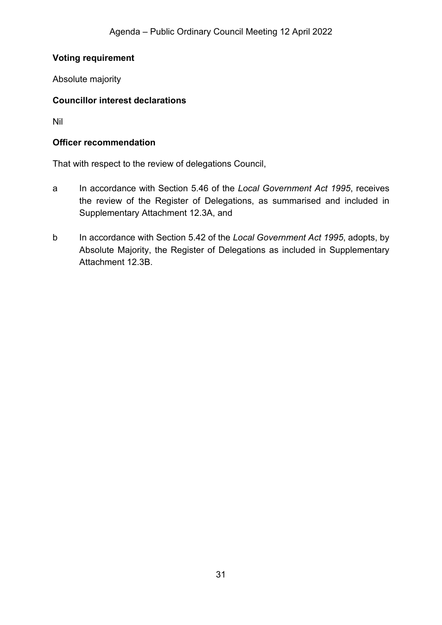### **Voting requirement**

Absolute majority

#### **Councillor interest declarations**

Nil

#### **Officer recommendation**

That with respect to the review of delegations Council,

- a In accordance with Section 5.46 of the *Local Government Act 1995*, receives the review of the Register of Delegations, as summarised and included in Supplementary Attachment 12.3A, and
- b In accordance with Section 5.42 of the *Local Government Act 1995*, adopts, by Absolute Majority, the Register of Delegations as included in Supplementary Attachment 12.3B.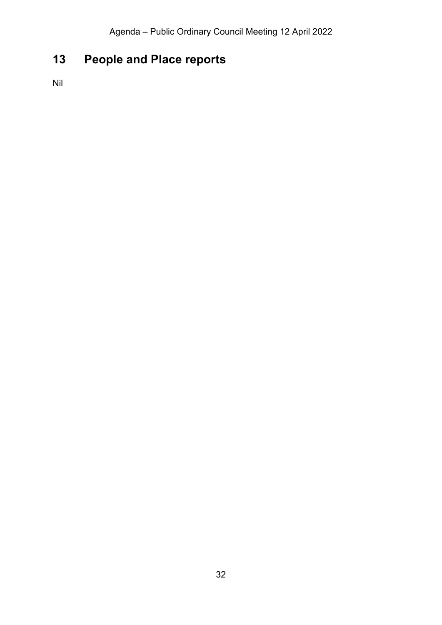# <span id="page-31-0"></span>**13 People and Place reports**

Nil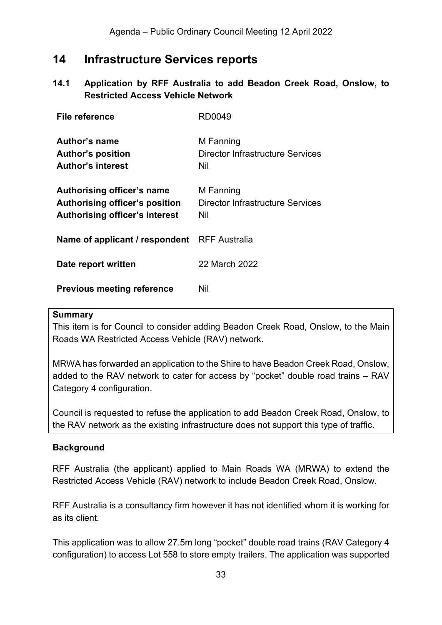## <span id="page-32-0"></span>**14 Infrastructure Services reports**

## <span id="page-32-1"></span>**14.1 Application by RFF Australia to add Beadon Creek Road, Onslow, to Restricted Access Vehicle Network**

| File reference                                                                                        | RD0049                                                      |
|-------------------------------------------------------------------------------------------------------|-------------------------------------------------------------|
| Author's name<br><b>Author's position</b><br><b>Author's interest</b>                                 | M Fanning<br>Director Infrastructure Services<br>Nil        |
| Authorising officer's name<br>Authorising officer's position<br><b>Authorising officer's interest</b> | M Fanning<br><b>Director Infrastructure Services</b><br>Nil |
| Name of applicant / respondent RFF Australia                                                          |                                                             |
| Date report written                                                                                   | 22 March 2022                                               |
| <b>Previous meeting reference</b>                                                                     | Nil                                                         |

#### **Summary**

This item is for Council to consider adding Beadon Creek Road, Onslow, to the Main Roads WA Restricted Access Vehicle (RAV) network.

MRWA has forwarded an application to the Shire to have Beadon Creek Road, Onslow, added to the RAV network to cater for access by "pocket" double road trains – RAV Category 4 configuration.

Council is requested to refuse the application to add Beadon Creek Road, Onslow, to the RAV network as the existing infrastructure does not support this type of traffic.

#### **Background**

RFF Australia (the applicant) applied to Main Roads WA (MRWA) to extend the Restricted Access Vehicle (RAV) network to include Beadon Creek Road, Onslow.

RFF Australia is a consultancy firm however it has not identified whom it is working for as its client.

This application was to allow 27.5m long "pocket" double road trains (RAV Category 4 configuration) to access Lot 558 to store empty trailers. The application was supported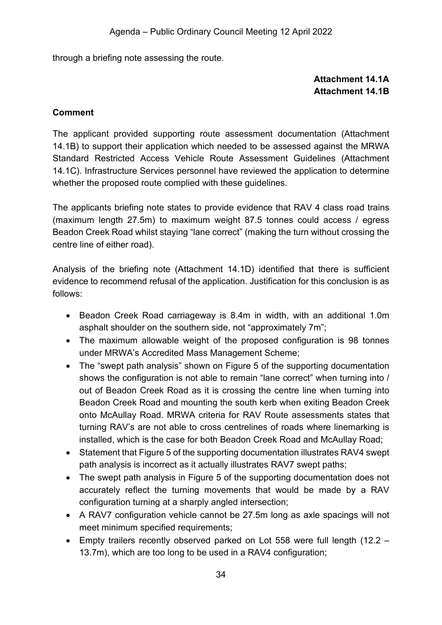<span id="page-33-0"></span>through a briefing note assessing the route.

## **Attachment 14.1A Attachment 14.1B**

#### <span id="page-33-1"></span>**Comment**

The applicant provided supporting route assessment documentation (Attachment 14.1B) to support their application which needed to be assessed against the MRWA Standard Restricted Access Vehicle Route Assessment Guidelines (Attachment 14.1C). Infrastructure Services personnel have reviewed the application to determine whether the proposed route complied with these guidelines.

The applicants briefing note states to provide evidence that RAV 4 class road trains (maximum length 27.5m) to maximum weight 87.5 tonnes could access / egress Beadon Creek Road whilst staying "lane correct" (making the turn without crossing the centre line of either road).

Analysis of the briefing note (Attachment 14.1D) identified that there is sufficient evidence to recommend refusal of the application. Justification for this conclusion is as follows:

- Beadon Creek Road carriageway is 8.4m in width, with an additional 1.0m asphalt shoulder on the southern side, not "approximately 7m";
- The maximum allowable weight of the proposed configuration is 98 tonnes under MRWA's Accredited Mass Management Scheme;
- The "swept path analysis" shown on Figure 5 of the supporting documentation shows the configuration is not able to remain "lane correct" when turning into / out of Beadon Creek Road as it is crossing the centre line when turning into Beadon Creek Road and mounting the south kerb when exiting Beadon Creek onto McAullay Road. MRWA criteria for RAV Route assessments states that turning RAV's are not able to cross centrelines of roads where linemarking is installed, which is the case for both Beadon Creek Road and McAullay Road;
- Statement that Figure 5 of the supporting documentation illustrates RAV4 swept path analysis is incorrect as it actually illustrates RAV7 swept paths;
- The swept path analysis in Figure 5 of the supporting documentation does not accurately reflect the turning movements that would be made by a RAV configuration turning at a sharply angled intersection;
- A RAV7 configuration vehicle cannot be 27.5m long as axle spacings will not meet minimum specified requirements;
- Empty trailers recently observed parked on Lot 558 were full length (12.2 13.7m), which are too long to be used in a RAV4 configuration;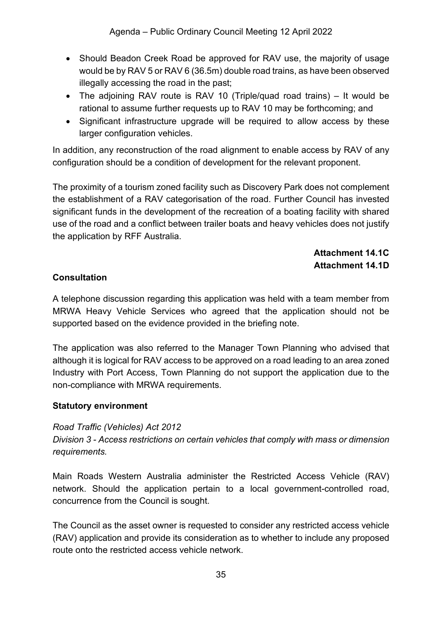- Should Beadon Creek Road be approved for RAV use, the majority of usage would be by RAV 5 or RAV 6 (36.5m) double road trains, as have been observed illegally accessing the road in the past;
- The adjoining RAV route is RAV 10 (Triple/quad road trains) It would be rational to assume further requests up to RAV 10 may be forthcoming; and
- Significant infrastructure upgrade will be required to allow access by these larger configuration vehicles.

In addition, any reconstruction of the road alignment to enable access by RAV of any configuration should be a condition of development for the relevant proponent.

The proximity of a tourism zoned facility such as Discovery Park does not complement the establishment of a RAV categorisation of the road. Further Council has invested significant funds in the development of the recreation of a boating facility with shared use of the road and a conflict between trailer boats and heavy vehicles does not justify the application by RFF Australia.

## **Attachment 14.1C Attachment 14.1D**

## <span id="page-34-1"></span><span id="page-34-0"></span>**Consultation**

A telephone discussion regarding this application was held with a team member from MRWA Heavy Vehicle Services who agreed that the application should not be supported based on the evidence provided in the briefing note.

The application was also referred to the Manager Town Planning who advised that although it is logical for RAV access to be approved on a road leading to an area zoned Industry with Port Access, Town Planning do not support the application due to the non-compliance with MRWA requirements.

## **Statutory environment**

## *Road Traffic (Vehicles) Act 2012*

*Division 3 - Access restrictions on certain vehicles that comply with mass or dimension requirements.*

Main Roads Western Australia administer the Restricted Access Vehicle (RAV) network. Should the application pertain to a local government-controlled road, concurrence from the Council is sought.

The Council as the asset owner is requested to consider any restricted access vehicle (RAV) application and provide its consideration as to whether to include any proposed route onto the restricted access vehicle network.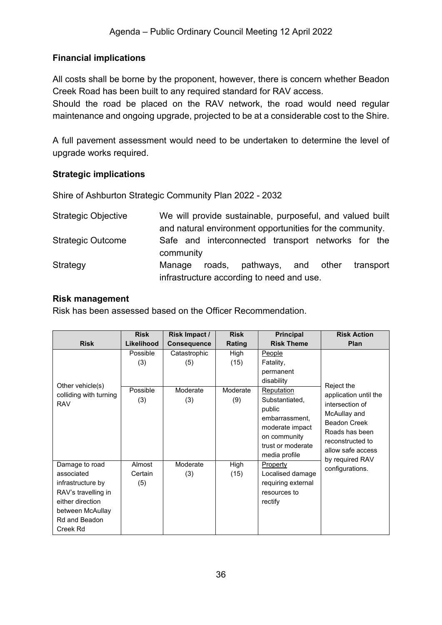## **Financial implications**

All costs shall be borne by the proponent, however, there is concern whether Beadon Creek Road has been built to any required standard for RAV access.

Should the road be placed on the RAV network, the road would need regular maintenance and ongoing upgrade, projected to be at a considerable cost to the Shire.

A full pavement assessment would need to be undertaken to determine the level of upgrade works required.

#### **Strategic implications**

Shire of Ashburton Strategic Community Plan 2022 - 2032

| <b>Strategic Objective</b> | We will provide sustainable, purposeful, and valued built       |
|----------------------------|-----------------------------------------------------------------|
|                            | and natural environment opportunities for the community.        |
| <b>Strategic Outcome</b>   | Safe and interconnected transport networks for the<br>community |
| Strategy                   | roads, pathways, and other<br>transport<br>Manage               |
|                            | infrastructure according to need and use.                       |

#### **Risk management**

Risk has been assessed based on the Officer Recommendation.

|                                                                                                                                               | <b>Risk</b>                        | Risk Impact /                          | <b>Risk</b>                     | <b>Principal</b>                                                                                                                                                                           | <b>Risk Action</b>                                                                                                                                                          |
|-----------------------------------------------------------------------------------------------------------------------------------------------|------------------------------------|----------------------------------------|---------------------------------|--------------------------------------------------------------------------------------------------------------------------------------------------------------------------------------------|-----------------------------------------------------------------------------------------------------------------------------------------------------------------------------|
| <b>Risk</b>                                                                                                                                   | Likelihood                         | <b>Consequence</b>                     | Rating                          | <b>Risk Theme</b>                                                                                                                                                                          | <b>Plan</b>                                                                                                                                                                 |
| Other vehicle(s)<br>colliding with turning<br><b>RAV</b>                                                                                      | Possible<br>(3)<br>Possible<br>(3) | Catastrophic<br>(5)<br>Moderate<br>(3) | High<br>(15)<br>Moderate<br>(9) | People<br>Fatality,<br>permanent<br>disability<br><b>Reputation</b><br>Substantiated,<br>public<br>embarrassment,<br>moderate impact<br>on community<br>trust or moderate<br>media profile | Reject the<br>application until the<br>intersection of<br>McAullay and<br><b>Beadon Creek</b><br>Roads has been<br>reconstructed to<br>allow safe access<br>by required RAV |
| Damage to road<br>associated<br>infrastructure by<br>RAV's travelling in<br>either direction<br>between McAullay<br>Rd and Beadon<br>Creek Rd | Almost<br>Certain<br>(5)           | Moderate<br>(3)                        | High<br>(15)                    | <b>Property</b><br>Localised damage<br>requiring external<br>resources to<br>rectify                                                                                                       | configurations.                                                                                                                                                             |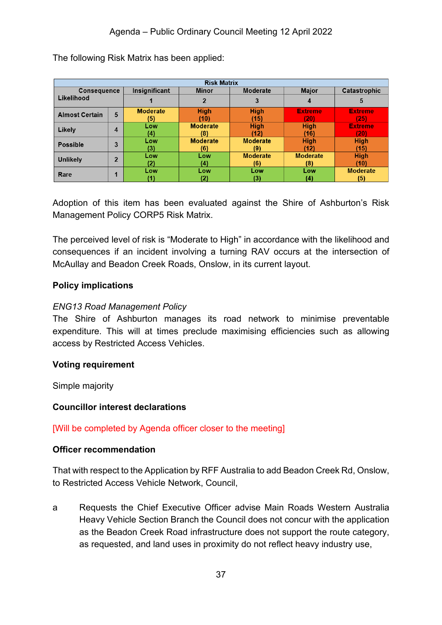| <b>Risk Matrix</b>    |                |                        |                          |                        |                        |                        |
|-----------------------|----------------|------------------------|--------------------------|------------------------|------------------------|------------------------|
| <b>Consequence</b>    |                | Insignificant          | Moderate<br><b>Minor</b> |                        | <b>Major</b>           | Catastrophic           |
| Likelihood            |                |                        |                          | 3                      |                        | 5                      |
| <b>Almost Certain</b> | 5              | <b>Moderate</b><br>(5) | <b>High</b><br>(10)      | <b>High</b><br>(15)    | <b>Extreme</b><br>(20) | <b>Extreme</b><br>(25) |
| Likely                | 4              | Low<br>(4)             | <b>Moderate</b><br>(8)   | <b>High</b><br>'12)    | <b>High</b><br>(16)    | <b>Extreme</b><br>(20) |
| <b>Possible</b>       | 3              | Low<br>(3)             | <b>Moderate</b><br>(6)   | <b>Moderate</b><br>(9) | <b>High</b><br>(12)    | <b>High</b><br>(15)    |
| <b>Unlikely</b>       | $\overline{2}$ | Low<br>(2)             | Low<br>(4)               | <b>Moderate</b><br>(6) | <b>Moderate</b><br>(8) | <b>High</b><br>(10)    |
| Rare                  |                | Low                    | Low<br>2)                | Low<br>(3)             | Low<br>(4)             | <b>Moderate</b><br>(5) |

The following Risk Matrix has been applied:

Adoption of this item has been evaluated against the Shire of Ashburton's Risk Management Policy CORP5 Risk Matrix.

The perceived level of risk is "Moderate to High" in accordance with the likelihood and consequences if an incident involving a turning RAV occurs at the intersection of McAullay and Beadon Creek Roads, Onslow, in its current layout.

#### **Policy implications**

### *ENG13 Road Management Policy*

The Shire of Ashburton manages its road network to minimise preventable expenditure. This will at times preclude maximising efficiencies such as allowing access by Restricted Access Vehicles.

#### **Voting requirement**

Simple majority

#### **Councillor interest declarations**

[Will be completed by Agenda officer closer to the meeting]

#### **Officer recommendation**

That with respect to the Application by RFF Australia to add Beadon Creek Rd, Onslow, to Restricted Access Vehicle Network, Council,

a Requests the Chief Executive Officer advise Main Roads Western Australia Heavy Vehicle Section Branch the Council does not concur with the application as the Beadon Creek Road infrastructure does not support the route category, as requested, and land uses in proximity do not reflect heavy industry use,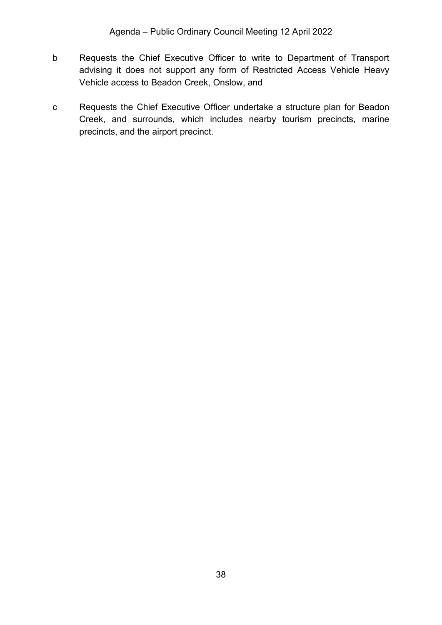- b Requests the Chief Executive Officer to write to Department of Transport advising it does not support any form of Restricted Access Vehicle Heavy Vehicle access to Beadon Creek, Onslow, and
- c Requests the Chief Executive Officer undertake a structure plan for Beadon Creek, and surrounds, which includes nearby tourism precincts, marine precincts, and the airport precinct.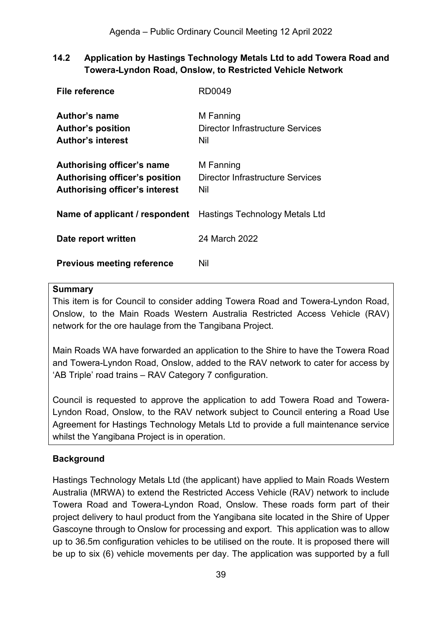## <span id="page-38-0"></span>**14.2 Application by Hastings Technology Metals Ltd to add Towera Road and Towera-Lyndon Road, Onslow, to Restricted Vehicle Network**

| File reference                                                                                               | RD0049                                               |
|--------------------------------------------------------------------------------------------------------------|------------------------------------------------------|
| Author's name<br><b>Author's position</b><br><b>Author's interest</b>                                        | M Fanning<br>Director Infrastructure Services<br>Nil |
| <b>Authorising officer's name</b><br>Authorising officer's position<br><b>Authorising officer's interest</b> | M Fanning<br>Director Infrastructure Services<br>Nil |
| <b>Name of applicant / respondent</b> Hastings Technology Metals Ltd                                         |                                                      |
| Date report written                                                                                          | 24 March 2022                                        |
| <b>Previous meeting reference</b>                                                                            | Nil                                                  |

#### **Summary**

This item is for Council to consider adding Towera Road and Towera-Lyndon Road, Onslow, to the Main Roads Western Australia Restricted Access Vehicle (RAV) network for the ore haulage from the Tangibana Project.

Main Roads WA have forwarded an application to the Shire to have the Towera Road and Towera-Lyndon Road, Onslow, added to the RAV network to cater for access by 'AB Triple' road trains – RAV Category 7 configuration.

Council is requested to approve the application to add Towera Road and Towera-Lyndon Road, Onslow, to the RAV network subject to Council entering a Road Use Agreement for Hastings Technology Metals Ltd to provide a full maintenance service whilst the Yangibana Project is in operation.

## **Background**

Hastings Technology Metals Ltd (the applicant) have applied to Main Roads Western Australia (MRWA) to extend the Restricted Access Vehicle (RAV) network to include Towera Road and Towera-Lyndon Road, Onslow. These roads form part of their project delivery to haul product from the Yangibana site located in the Shire of Upper Gascoyne through to Onslow for processing and export. This application was to allow up to 36.5m configuration vehicles to be utilised on the route. It is proposed there will be up to six (6) vehicle movements per day. The application was supported by a full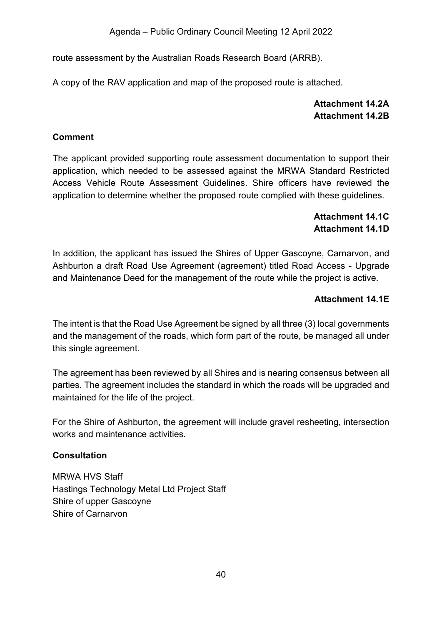route assessment by the Australian Roads Research Board (ARRB).

<span id="page-39-0"></span>A copy of the RAV application and map of the proposed route is attached.

## **Attachment 14.2A Attachment 14.2B**

## <span id="page-39-1"></span>**Comment**

The applicant provided supporting route assessment documentation to support their application, which needed to be assessed against the MRWA Standard Restricted Access Vehicle Route Assessment Guidelines. Shire officers have reviewed the application to determine whether the proposed route complied with these guidelines.

## **Attachment 14.1C Attachment 14.1D**

<span id="page-39-3"></span><span id="page-39-2"></span>In addition, the applicant has issued the Shires of Upper Gascoyne, Carnarvon, and Ashburton a draft Road Use Agreement (agreement) titled Road Access - Upgrade and Maintenance Deed for the management of the route while the project is active.

## **Attachment 14.1E**

<span id="page-39-4"></span>The intent is that the Road Use Agreement be signed by all three (3) local governments and the management of the roads, which form part of the route, be managed all under this single agreement.

The agreement has been reviewed by all Shires and is nearing consensus between all parties. The agreement includes the standard in which the roads will be upgraded and maintained for the life of the project.

For the Shire of Ashburton, the agreement will include gravel resheeting, intersection works and maintenance activities.

## **Consultation**

MRWA HVS Staff Hastings Technology Metal Ltd Project Staff Shire of upper Gascoyne Shire of Carnarvon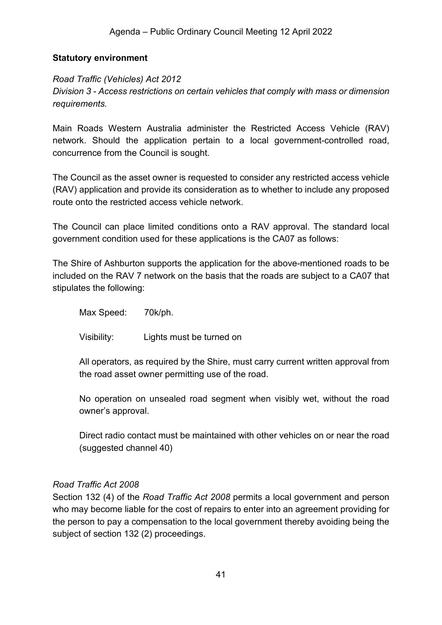#### **Statutory environment**

## *Road Traffic (Vehicles) Act 2012 Division 3 - Access restrictions on certain vehicles that comply with mass or dimension requirements.*

Main Roads Western Australia administer the Restricted Access Vehicle (RAV) network. Should the application pertain to a local government-controlled road, concurrence from the Council is sought.

The Council as the asset owner is requested to consider any restricted access vehicle (RAV) application and provide its consideration as to whether to include any proposed route onto the restricted access vehicle network.

The Council can place limited conditions onto a RAV approval. The standard local government condition used for these applications is the CA07 as follows:

The Shire of Ashburton supports the application for the above-mentioned roads to be included on the RAV 7 network on the basis that the roads are subject to a CA07 that stipulates the following:

Max Speed: 70k/ph.

Visibility: Lights must be turned on

All operators, as required by the Shire, must carry current written approval from the road asset owner permitting use of the road.

No operation on unsealed road segment when visibly wet, without the road owner's approval.

Direct radio contact must be maintained with other vehicles on or near the road (suggested channel 40)

#### *Road Traffic Act 2008*

Section 132 (4) of the *Road Traffic Act 2008* permits a local government and person who may become liable for the cost of repairs to enter into an agreement providing for the person to pay a compensation to the local government thereby avoiding being the subject of section 132 (2) proceedings.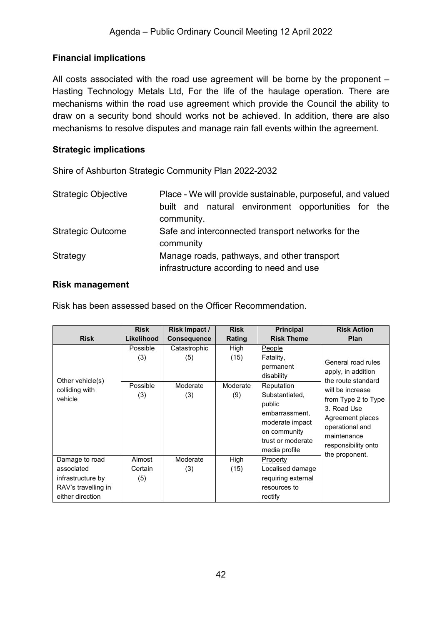## **Financial implications**

All costs associated with the road use agreement will be borne by the proponent – Hasting Technology Metals Ltd, For the life of the haulage operation. There are mechanisms within the road use agreement which provide the Council the ability to draw on a security bond should works not be achieved. In addition, there are also mechanisms to resolve disputes and manage rain fall events within the agreement.

## **Strategic implications**

Shire of Ashburton Strategic Community Plan 2022-2032

| <b>Strategic Objective</b> | Place - We will provide sustainable, purposeful, and valued<br>built and natural environment opportunities for<br>the<br>community. |  |  |  |
|----------------------------|-------------------------------------------------------------------------------------------------------------------------------------|--|--|--|
| <b>Strategic Outcome</b>   | Safe and interconnected transport networks for the<br>community                                                                     |  |  |  |
| Strategy                   | Manage roads, pathways, and other transport<br>infrastructure according to need and use                                             |  |  |  |

#### **Risk management**

Risk has been assessed based on the Officer Recommendation.

|                                               | <b>Risk</b>                        | Risk Impact /                          | <b>Risk</b>                     | <b>Principal</b>                                                                                                                                                                    | <b>Risk Action</b>                                                                                                                                                                                                      |
|-----------------------------------------------|------------------------------------|----------------------------------------|---------------------------------|-------------------------------------------------------------------------------------------------------------------------------------------------------------------------------------|-------------------------------------------------------------------------------------------------------------------------------------------------------------------------------------------------------------------------|
| <b>Risk</b>                                   | Likelihood                         | <b>Consequence</b>                     | Rating                          | <b>Risk Theme</b>                                                                                                                                                                   | <b>Plan</b>                                                                                                                                                                                                             |
| Other vehicle(s)<br>colliding with<br>vehicle | Possible<br>(3)<br>Possible<br>(3) | Catastrophic<br>(5)<br>Moderate<br>(3) | High<br>(15)<br>Moderate<br>(9) | People<br>Fatality,<br>permanent<br>disability<br>Reputation<br>Substantiated,<br>public<br>embarrassment.<br>moderate impact<br>on community<br>trust or moderate<br>media profile | General road rules<br>apply, in addition<br>the route standard<br>will be increase<br>from Type 2 to Type<br>3. Road Use<br>Agreement places<br>operational and<br>maintenance<br>responsibility onto<br>the proponent. |
| Damage to road<br>associated                  | Almost<br>Certain                  | Moderate<br>(3)                        | High<br>(15)                    | Property<br>Localised damage                                                                                                                                                        |                                                                                                                                                                                                                         |
| infrastructure by                             | (5)                                |                                        |                                 | requiring external                                                                                                                                                                  |                                                                                                                                                                                                                         |
| RAV's travelling in                           |                                    |                                        |                                 | resources to                                                                                                                                                                        |                                                                                                                                                                                                                         |
| either direction                              |                                    |                                        |                                 | rectify                                                                                                                                                                             |                                                                                                                                                                                                                         |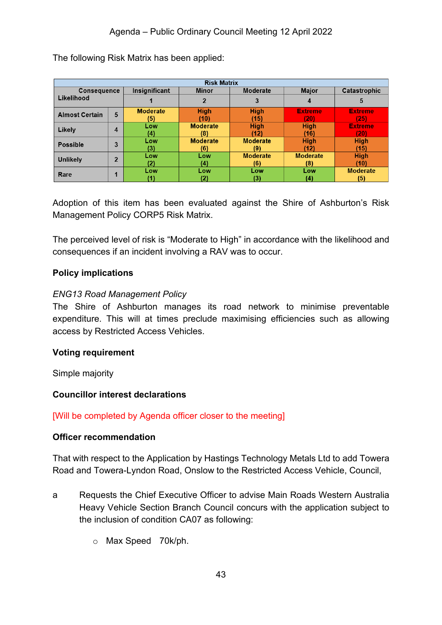| <b>Risk Matrix</b>    |                |                                                  |                 |                 |                 |                 |
|-----------------------|----------------|--------------------------------------------------|-----------------|-----------------|-----------------|-----------------|
| <b>Consequence</b>    |                | Insignificant<br><b>Moderate</b><br><b>Minor</b> |                 | <b>Major</b>    | Catastrophic    |                 |
| Likelihood            |                |                                                  |                 | 3               | 4               | 5               |
| <b>Almost Certain</b> | 5              | <b>Moderate</b>                                  | <b>High</b>     | <b>High</b>     | <b>Extreme</b>  | <b>Extreme</b>  |
|                       |                | (5)                                              | (10)            | (15)            | (20)            | (25)            |
| Likely                | 4              | Low                                              | <b>Moderate</b> | <b>High</b>     | <b>High</b>     | <b>Extreme</b>  |
|                       |                | (4)                                              | (8)             | (12)            | (16)            | (20)            |
| <b>Possible</b>       | 3              | Low                                              | <b>Moderate</b> | <b>Moderate</b> | <b>High</b>     | <b>High</b>     |
|                       |                | 3)                                               | (6)             | (9)             | (12)            | (15)            |
| <b>Unlikely</b>       | $\overline{2}$ | Low                                              | Low             | <b>Moderate</b> | <b>Moderate</b> | <b>High</b>     |
|                       |                | '2).                                             | (4)             | (6)             | (8)             | (10)            |
| Rare                  | и              | Low                                              | Low             | Low             | Low             | <b>Moderate</b> |
|                       |                |                                                  | (2)             | (3)             | (4)             | (5)             |

The following Risk Matrix has been applied:

Adoption of this item has been evaluated against the Shire of Ashburton's Risk Management Policy CORP5 Risk Matrix.

The perceived level of risk is "Moderate to High" in accordance with the likelihood and consequences if an incident involving a RAV was to occur.

### **Policy implications**

#### *ENG13 Road Management Policy*

The Shire of Ashburton manages its road network to minimise preventable expenditure. This will at times preclude maximising efficiencies such as allowing access by Restricted Access Vehicles.

#### **Voting requirement**

Simple majority

#### **Councillor interest declarations**

#### [Will be completed by Agenda officer closer to the meeting]

#### **Officer recommendation**

That with respect to the Application by Hastings Technology Metals Ltd to add Towera Road and Towera-Lyndon Road, Onslow to the Restricted Access Vehicle, Council,

- a Requests the Chief Executive Officer to advise Main Roads Western Australia Heavy Vehicle Section Branch Council concurs with the application subject to the inclusion of condition CA07 as following:
	- o Max Speed 70k/ph.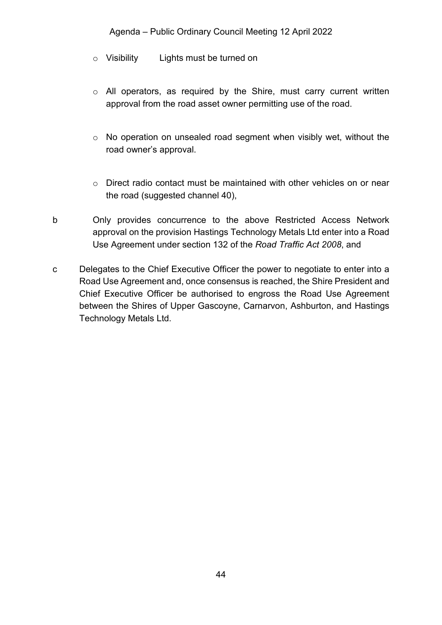#### Agenda – Public Ordinary Council Meeting 12 April 2022

- o Visibility Lights must be turned on
- o All operators, as required by the Shire, must carry current written approval from the road asset owner permitting use of the road.
- o No operation on unsealed road segment when visibly wet, without the road owner's approval.
- o Direct radio contact must be maintained with other vehicles on or near the road (suggested channel 40),
- b Only provides concurrence to the above Restricted Access Network approval on the provision Hastings Technology Metals Ltd enter into a Road Use Agreement under section 132 of the *Road Traffic Act 2008*, and
- c Delegates to the Chief Executive Officer the power to negotiate to enter into a Road Use Agreement and, once consensus is reached, the Shire President and Chief Executive Officer be authorised to engross the Road Use Agreement between the Shires of Upper Gascoyne, Carnarvon, Ashburton, and Hastings Technology Metals Ltd.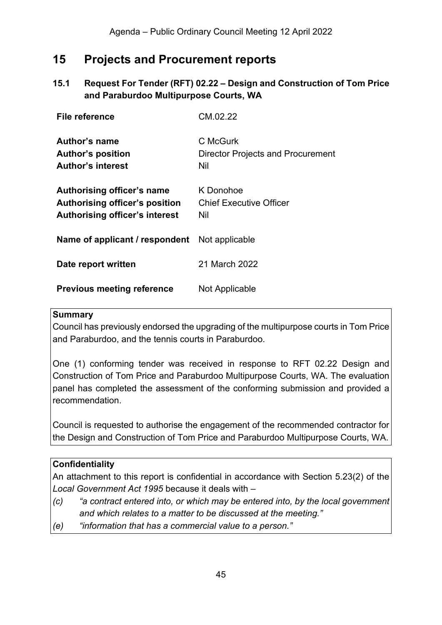## <span id="page-44-0"></span>**15 Projects and Procurement reports**

## <span id="page-44-1"></span>**15.1 Request For Tender (RFT) 02.22 – Design and Construction of Tom Price and Paraburdoo Multipurpose Courts, WA**

| File reference                                                                                        | CM.02.22                                                    |
|-------------------------------------------------------------------------------------------------------|-------------------------------------------------------------|
| Author's name<br><b>Author's position</b><br><b>Author's interest</b>                                 | C McGurk<br><b>Director Projects and Procurement</b><br>Nil |
| Authorising officer's name<br>Authorising officer's position<br><b>Authorising officer's interest</b> | K Donohoe<br><b>Chief Executive Officer</b><br>Nil          |
| <b>Name of applicant / respondent</b> Not applicable                                                  |                                                             |
| Date report written                                                                                   | 21 March 2022                                               |
| <b>Previous meeting reference</b>                                                                     | Not Applicable                                              |

#### **Summary**

Council has previously endorsed the upgrading of the multipurpose courts in Tom Price and Paraburdoo, and the tennis courts in Paraburdoo.

One (1) conforming tender was received in response to RFT 02.22 Design and Construction of Tom Price and Paraburdoo Multipurpose Courts, WA. The evaluation panel has completed the assessment of the conforming submission and provided a recommendation.

Council is requested to authorise the engagement of the recommended contractor for the Design and Construction of Tom Price and Paraburdoo Multipurpose Courts, WA.

#### **Confidentiality**

An attachment to this report is confidential in accordance with Section 5.23(2) of the *Local Government Act 1995* because it deals with –

- *(c) "a contract entered into, or which may be entered into, by the local government and which relates to a matter to be discussed at the meeting."*
- *(e) "information that has a commercial value to a person."*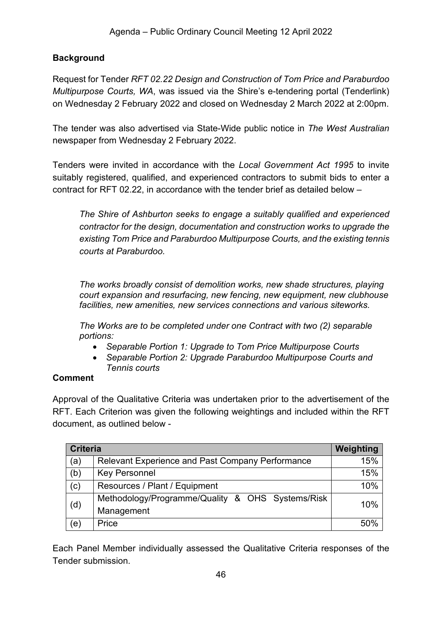## **Background**

Request for Tender *RFT 02.22 Design and Construction of Tom Price and Paraburdoo Multipurpose Courts, WA*, was issued via the Shire's e-tendering portal (Tenderlink) on Wednesday 2 February 2022 and closed on Wednesday 2 March 2022 at 2:00pm.

The tender was also advertised via State-Wide public notice in *The West Australian* newspaper from Wednesday 2 February 2022.

Tenders were invited in accordance with the *Local Government Act 1995* to invite suitably registered, qualified, and experienced contractors to submit bids to enter a contract for RFT 02.22, in accordance with the tender brief as detailed below –

*The Shire of Ashburton seeks to engage a suitably qualified and experienced contractor for the design, documentation and construction works to upgrade the existing Tom Price and Paraburdoo Multipurpose Courts, and the existing tennis courts at Paraburdoo.*

*The works broadly consist of demolition works, new shade structures, playing court expansion and resurfacing, new fencing, new equipment, new clubhouse facilities, new amenities, new services connections and various siteworks.* 

*The Works are to be completed under one Contract with two (2) separable portions:*

- *Separable Portion 1: Upgrade to Tom Price Multipurpose Courts*
- *Separable Portion 2: Upgrade Paraburdoo Multipurpose Courts and Tennis courts*

## **Comment**

Approval of the Qualitative Criteria was undertaken prior to the advertisement of the RFT. Each Criterion was given the following weightings and included within the RFT document, as outlined below -

|                | <b>Criteria</b>                                         |     |  |
|----------------|---------------------------------------------------------|-----|--|
| (a)            | <b>Relevant Experience and Past Company Performance</b> | 15% |  |
| (b)            | <b>Key Personnel</b>                                    | 15% |  |
| (c)            | Resources / Plant / Equipment                           | 10% |  |
| (d)            | Methodology/Programme/Quality & OHS Systems/Risk        | 10% |  |
|                | Management                                              |     |  |
| $(\mathsf{e})$ | Price                                                   | 50% |  |

Each Panel Member individually assessed the Qualitative Criteria responses of the Tender submission.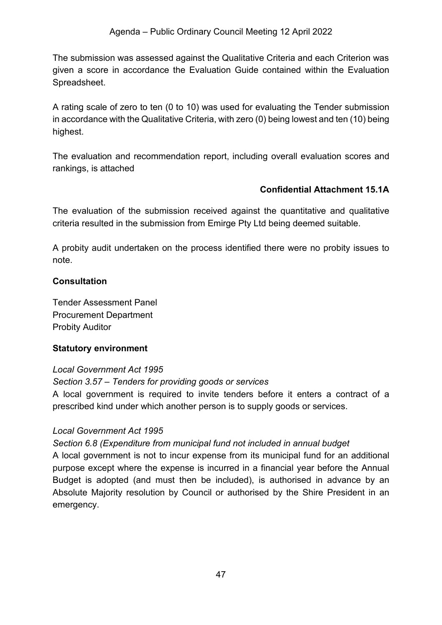The submission was assessed against the Qualitative Criteria and each Criterion was given a score in accordance the Evaluation Guide contained within the Evaluation Spreadsheet.

A rating scale of zero to ten (0 to 10) was used for evaluating the Tender submission in accordance with the Qualitative Criteria, with zero (0) being lowest and ten (10) being highest.

The evaluation and recommendation report, including overall evaluation scores and rankings, is attached

## **Confidential Attachment 15.1A**

<span id="page-46-0"></span>The evaluation of the submission received against the quantitative and qualitative criteria resulted in the submission from Emirge Pty Ltd being deemed suitable.

A probity audit undertaken on the process identified there were no probity issues to note.

#### **Consultation**

Tender Assessment Panel Procurement Department Probity Auditor

#### **Statutory environment**

#### *Local Government Act 1995*

*Section 3.57 – Tenders for providing goods or services*

A local government is required to invite tenders before it enters a contract of a prescribed kind under which another person is to supply goods or services.

#### *Local Government Act 1995*

#### *Section 6.8 (Expenditure from municipal fund not included in annual budget*

A local government is not to incur expense from its municipal fund for an additional purpose except where the expense is incurred in a financial year before the Annual Budget is adopted (and must then be included), is authorised in advance by an Absolute Majority resolution by Council or authorised by the Shire President in an emergency.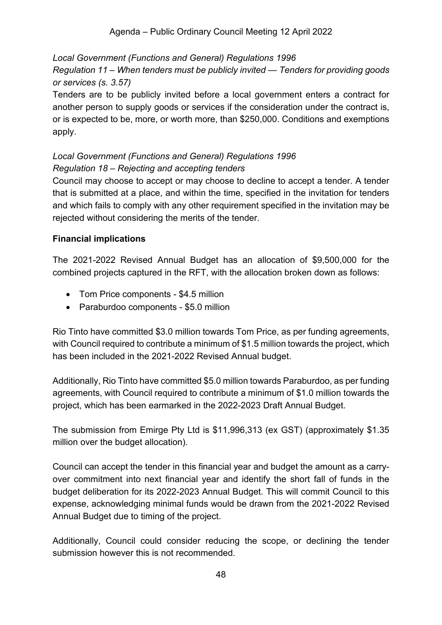*Local Government (Functions and General) Regulations 1996 Regulation 11 – When tenders must be publicly invited — Tenders for providing goods or services (s. 3.57)*

Tenders are to be publicly invited before a local government enters a contract for another person to supply goods or services if the consideration under the contract is, or is expected to be, more, or worth more, than \$250,000. Conditions and exemptions apply.

## *Local Government (Functions and General) Regulations 1996 Regulation 18 – Rejecting and accepting tenders*

Council may choose to accept or may choose to decline to accept a tender. A tender that is submitted at a place, and within the time, specified in the invitation for tenders and which fails to comply with any other requirement specified in the invitation may be rejected without considering the merits of the tender.

## **Financial implications**

The 2021-2022 Revised Annual Budget has an allocation of \$9,500,000 for the combined projects captured in the RFT, with the allocation broken down as follows:

- Tom Price components \$4.5 million
- Paraburdoo components \$5.0 million

Rio Tinto have committed \$3.0 million towards Tom Price, as per funding agreements, with Council required to contribute a minimum of \$1.5 million towards the project, which has been included in the 2021-2022 Revised Annual budget.

Additionally, Rio Tinto have committed \$5.0 million towards Paraburdoo, as per funding agreements, with Council required to contribute a minimum of \$1.0 million towards the project, which has been earmarked in the 2022-2023 Draft Annual Budget.

The submission from Emirge Pty Ltd is \$11,996,313 (ex GST) (approximately \$1.35 million over the budget allocation).

Council can accept the tender in this financial year and budget the amount as a carryover commitment into next financial year and identify the short fall of funds in the budget deliberation for its 2022-2023 Annual Budget. This will commit Council to this expense, acknowledging minimal funds would be drawn from the 2021-2022 Revised Annual Budget due to timing of the project.

Additionally, Council could consider reducing the scope, or declining the tender submission however this is not recommended.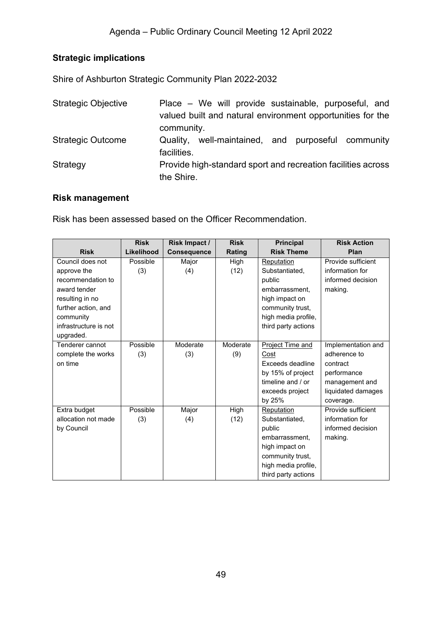## **Strategic implications**

Shire of Ashburton Strategic Community Plan 2022-2032

| <b>Strategic Objective</b> | Place – We will provide sustainable, purposeful, and         |
|----------------------------|--------------------------------------------------------------|
|                            | valued built and natural environment opportunities for the   |
|                            | community.                                                   |
| <b>Strategic Outcome</b>   | Quality, well-maintained, and purposeful community           |
|                            | facilities.                                                  |
| Strategy                   | Provide high-standard sport and recreation facilities across |
|                            | the Shire.                                                   |

### **Risk management**

Risk has been assessed based on the Officer Recommendation.

|                       | <b>Risk</b> | Risk Impact /      | <b>Risk</b> | <b>Principal</b>    | <b>Risk Action</b> |
|-----------------------|-------------|--------------------|-------------|---------------------|--------------------|
| <b>Risk</b>           | Likelihood  | <b>Consequence</b> | Rating      | <b>Risk Theme</b>   | Plan               |
| Council does not      | Possible    | Major              | High        | Reputation          | Provide sufficient |
| approve the           | (3)         | (4)                | (12)        | Substantiated,      | information for    |
| recommendation to     |             |                    |             | public              | informed decision  |
| award tender          |             |                    |             | embarrassment.      | making.            |
| resulting in no       |             |                    |             | high impact on      |                    |
| further action, and   |             |                    |             | community trust,    |                    |
| community             |             |                    |             | high media profile, |                    |
| infrastructure is not |             |                    |             | third party actions |                    |
| upgraded.             |             |                    |             |                     |                    |
| Tenderer cannot       | Possible    | Moderate           | Moderate    | Project Time and    | Implementation and |
| complete the works    | (3)         | (3)                | (9)         | Cost                | adherence to       |
| on time               |             |                    |             | Exceeds deadline    | contract           |
|                       |             |                    |             | by 15% of project   | performance        |
|                       |             |                    |             | timeline and / or   | management and     |
|                       |             |                    |             | exceeds project     | liquidated damages |
|                       |             |                    |             | by 25%              | coverage.          |
| Extra budget          | Possible    | Major              | High        | Reputation          | Provide sufficient |
| allocation not made   | (3)         | (4)                | (12)        | Substantiated,      | information for    |
| by Council            |             |                    |             | public              | informed decision  |
|                       |             |                    |             | embarrassment.      | making.            |
|                       |             |                    |             | high impact on      |                    |
|                       |             |                    |             | community trust,    |                    |
|                       |             |                    |             | high media profile, |                    |
|                       |             |                    |             | third party actions |                    |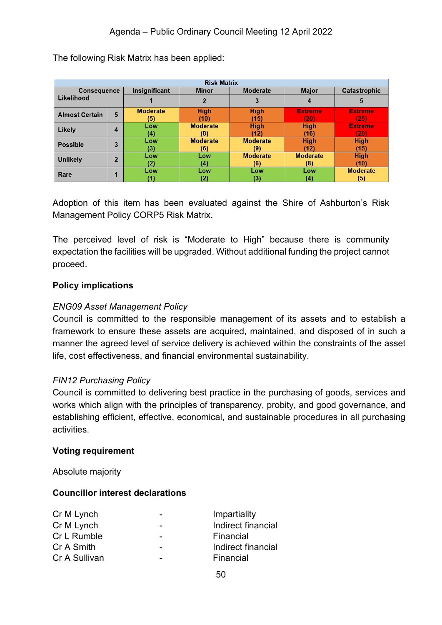| <b>Risk Matrix</b>    |                |                 |                 |                 |                 |                 |
|-----------------------|----------------|-----------------|-----------------|-----------------|-----------------|-----------------|
| <b>Consequence</b>    |                | Insignificant   | <b>Minor</b>    | Moderate        | <b>Major</b>    | Catastrophic    |
| Likelihood            |                |                 |                 | 3               |                 | 5               |
| <b>Almost Certain</b> | 5              | <b>Moderate</b> | <b>High</b>     | <b>High</b>     | <b>Extreme</b>  | <b>Extreme</b>  |
|                       |                | (5)             | (10)            | (15)            | (20)            | (25)            |
| Likely                | 4              | Low             | <b>Moderate</b> | <b>High</b>     | <b>High</b>     | <b>Extreme</b>  |
|                       |                | (4)             | (8)             | (12)            | (16)            | (20)            |
| <b>Possible</b>       | 3              | Low             | <b>Moderate</b> | <b>Moderate</b> | <b>High</b>     | <b>High</b>     |
|                       |                | (3)             | (6)             | (9)             | (12)            | (15)            |
| <b>Unlikely</b>       | $\overline{2}$ | Low             | Low             | <b>Moderate</b> | <b>Moderate</b> | <b>High</b>     |
|                       |                | (2)             | (4)             | (6)             | (8)             | (10)            |
| Rare                  |                | Low             | Low             | Low             | Low             | <b>Moderate</b> |
|                       |                |                 | 21              | (3)             | (4)             | (5)             |

The following Risk Matrix has been applied:

Adoption of this item has been evaluated against the Shire of Ashburton's Risk Management Policy CORP5 Risk Matrix.

The perceived level of risk is "Moderate to High" because there is community expectation the facilities will be upgraded. Without additional funding the project cannot proceed.

#### **Policy implications**

#### *ENG09 Asset Management Policy*

Council is committed to the responsible management of its assets and to establish a framework to ensure these assets are acquired, maintained, and disposed of in such a manner the agreed level of service delivery is achieved within the constraints of the asset life, cost effectiveness, and financial environmental sustainability.

#### *FIN12 Purchasing Policy*

Council is committed to delivering best practice in the purchasing of goods, services and works which align with the principles of transparency, probity, and good governance, and establishing efficient, effective, economical, and sustainable procedures in all purchasing activities.

#### **Voting requirement**

Absolute majority

#### **Councillor interest declarations**

| $\overline{\phantom{0}}$ | Impartiality       |
|--------------------------|--------------------|
| -                        | Indirect financial |
| $\overline{\phantom{0}}$ | Financial          |
| -                        | Indirect financial |
| -                        | Financial          |
|                          |                    |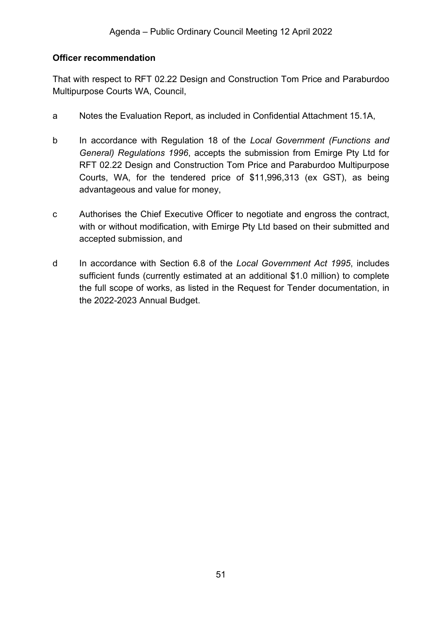#### **Officer recommendation**

That with respect to RFT 02.22 Design and Construction Tom Price and Paraburdoo Multipurpose Courts WA, Council,

- a Notes the Evaluation Report, as included in Confidential Attachment 15.1A,
- b In accordance with Regulation 18 of the *Local Government (Functions and General) Regulations 1996*, accepts the submission from Emirge Pty Ltd for RFT 02.22 Design and Construction Tom Price and Paraburdoo Multipurpose Courts, WA, for the tendered price of \$11,996,313 (ex GST), as being advantageous and value for money,
- c Authorises the Chief Executive Officer to negotiate and engross the contract, with or without modification, with Emirge Pty Ltd based on their submitted and accepted submission, and
- d In accordance with Section 6.8 of the *Local Government Act 1995*, includes sufficient funds (currently estimated at an additional \$1.0 million) to complete the full scope of works, as listed in the Request for Tender documentation, in the 2022-2023 Annual Budget.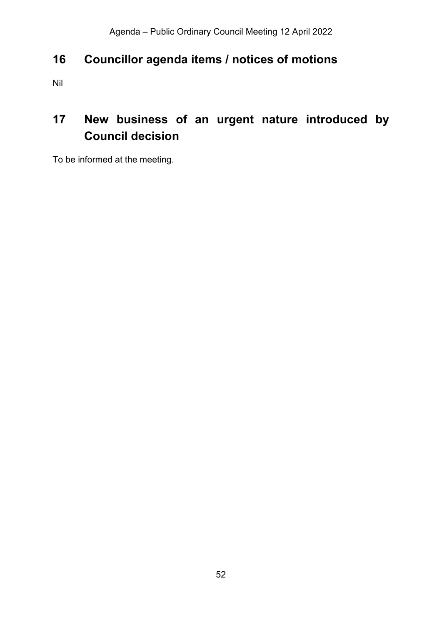## <span id="page-51-0"></span>**16 Councillor agenda items / notices of motions**

Nil

# <span id="page-51-1"></span>**17 New business of an urgent nature introduced by Council decision**

To be informed at the meeting.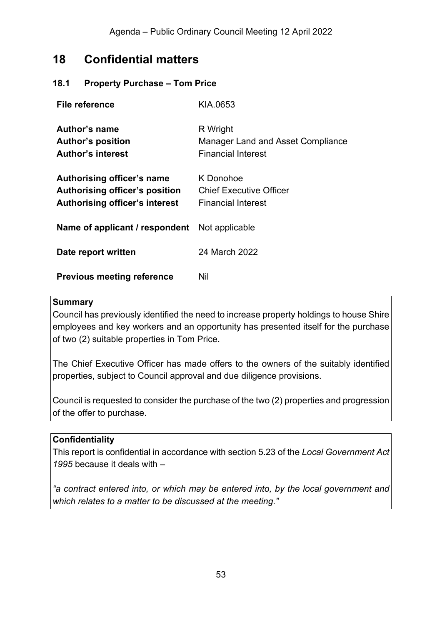## <span id="page-52-0"></span>**18 Confidential matters**

#### <span id="page-52-1"></span>**18.1 Property Purchase – Tom Price**

| File reference                                                                                        | KIA.0653                                                                   |
|-------------------------------------------------------------------------------------------------------|----------------------------------------------------------------------------|
| Author's name<br><b>Author's position</b><br><b>Author's interest</b>                                 | R Wright<br>Manager Land and Asset Compliance<br><b>Financial Interest</b> |
| Authorising officer's name<br>Authorising officer's position<br><b>Authorising officer's interest</b> | K Donohoe<br>Chief Executive Officer<br>Financial Interest                 |
| <b>Name of applicant / respondent</b> Not applicable                                                  |                                                                            |
| Date report written                                                                                   | 24 March 2022                                                              |
| <b>Previous meeting reference</b>                                                                     | Nil                                                                        |

#### **Summary**

Council has previously identified the need to increase property holdings to house Shire employees and key workers and an opportunity has presented itself for the purchase of two (2) suitable properties in Tom Price.

The Chief Executive Officer has made offers to the owners of the suitably identified properties, subject to Council approval and due diligence provisions.

Council is requested to consider the purchase of the two (2) properties and progression of the offer to purchase.

#### **Confidentiality**

This report is confidential in accordance with section 5.23 of the *Local Government Act 1995* because it deals with –

*"a contract entered into, or which may be entered into, by the local government and which relates to a matter to be discussed at the meeting."*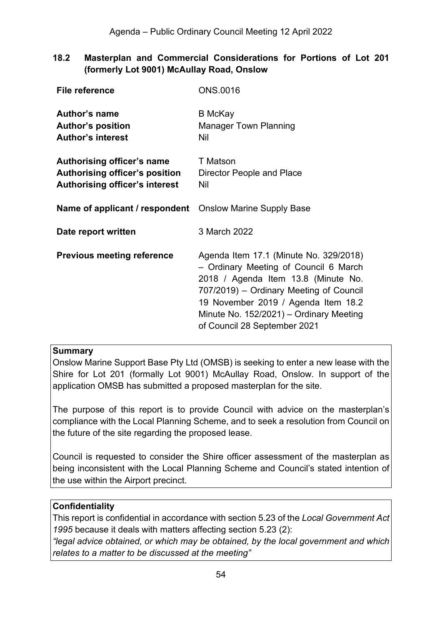<span id="page-53-0"></span>**18.2 Masterplan and Commercial Considerations for Portions of Lot 201 (formerly Lot 9001) McAullay Road, Onslow**

| <b>File reference</b>                                                                                        | <b>ONS.0016</b>                                                                                                                                                                                                                                                                     |
|--------------------------------------------------------------------------------------------------------------|-------------------------------------------------------------------------------------------------------------------------------------------------------------------------------------------------------------------------------------------------------------------------------------|
| Author's name<br><b>Author's position</b><br><b>Author's interest</b>                                        | <b>B</b> McKay<br><b>Manager Town Planning</b><br>Nil                                                                                                                                                                                                                               |
| Authorising officer's name<br><b>Authorising officer's position</b><br><b>Authorising officer's interest</b> | <b>T</b> Matson<br>Director People and Place<br>Nil                                                                                                                                                                                                                                 |
| Name of applicant / respondent                                                                               | <b>Onslow Marine Supply Base</b>                                                                                                                                                                                                                                                    |
| Date report written                                                                                          | 3 March 2022                                                                                                                                                                                                                                                                        |
| <b>Previous meeting reference</b>                                                                            | Agenda Item 17.1 (Minute No. 329/2018)<br>- Ordinary Meeting of Council 6 March<br>2018 / Agenda Item 13.8 (Minute No.<br>707/2019) – Ordinary Meeting of Council<br>19 November 2019 / Agenda Item 18.2<br>Minute No. 152/2021) - Ordinary Meeting<br>of Council 28 September 2021 |

#### **Summary**

Onslow Marine Support Base Pty Ltd (OMSB) is seeking to enter a new lease with the Shire for Lot 201 (formally Lot 9001) McAullay Road, Onslow. In support of the application OMSB has submitted a proposed masterplan for the site.

The purpose of this report is to provide Council with advice on the masterplan's compliance with the Local Planning Scheme, and to seek a resolution from Council on the future of the site regarding the proposed lease.

Council is requested to consider the Shire officer assessment of the masterplan as being inconsistent with the Local Planning Scheme and Council's stated intention of the use within the Airport precinct.

#### **Confidentiality**

This report is confidential in accordance with section 5.23 of the *Local Government Act 1995* because it deals with matters affecting section 5.23 (2):

*"legal advice obtained, or which may be obtained, by the local government and which relates to a matter to be discussed at the meeting"*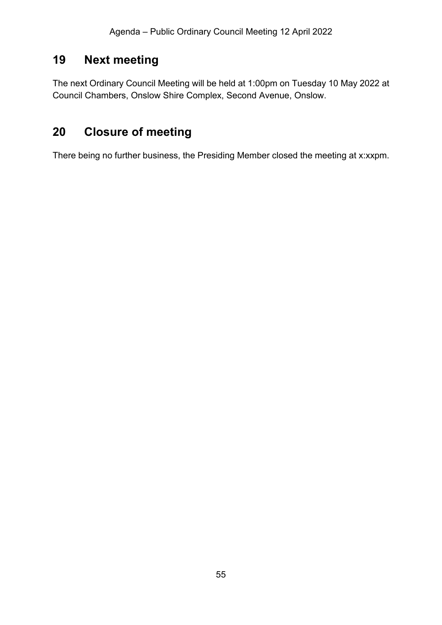## <span id="page-54-0"></span>**19 Next meeting**

The next Ordinary Council Meeting will be held at 1:00pm on Tuesday 10 May 2022 at Council Chambers, Onslow Shire Complex, Second Avenue, Onslow.

# <span id="page-54-1"></span>**20 Closure of meeting**

There being no further business, the Presiding Member closed the meeting at x:xxpm.